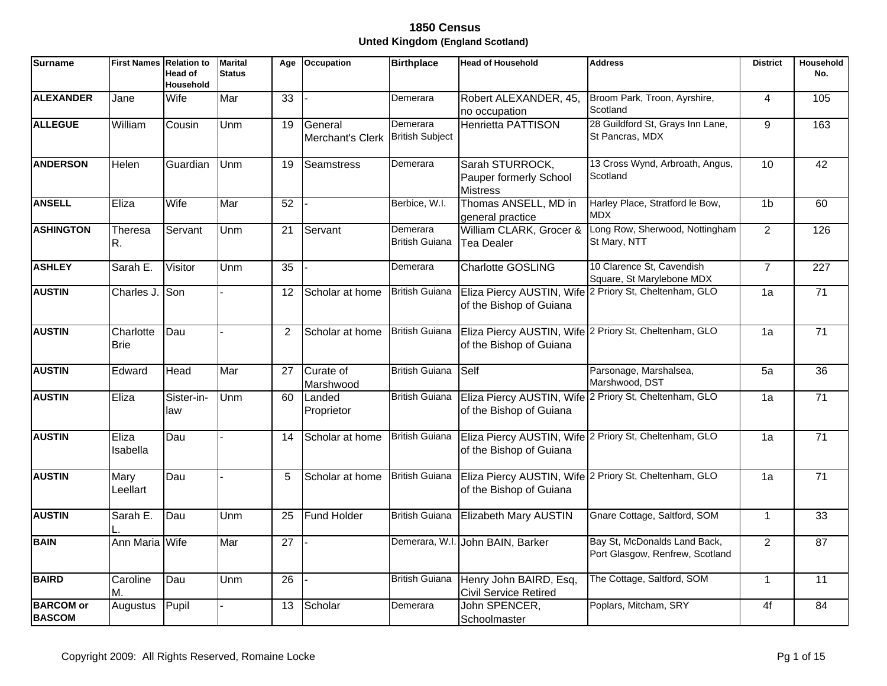| <b>Surname</b>                    | <b>First Names Relation to</b> | <b>Head of</b><br>Household | <b>Marital</b><br><b>Status</b> | Age             | Occupation                  | <b>Birthplace</b>                  | <b>Head of Household</b>                                     | <b>Address</b>                                                  | <b>District</b> | Household<br>No. |
|-----------------------------------|--------------------------------|-----------------------------|---------------------------------|-----------------|-----------------------------|------------------------------------|--------------------------------------------------------------|-----------------------------------------------------------------|-----------------|------------------|
| <b>ALEXANDER</b>                  | Jane                           | Wife                        | Mar                             | $\overline{33}$ |                             | Demerara                           | Robert ALEXANDER, 45,<br>no occupation                       | Broom Park, Troon, Ayrshire,<br>Scotland                        | $\overline{4}$  | 105              |
| <b>ALLEGUE</b>                    | William                        | Cousin                      | Unm                             | 19              | General<br>Merchant's Clerk | Demerara<br><b>British Subject</b> | <b>Henrietta PATTISON</b>                                    | 28 Guildford St, Grays Inn Lane,<br>St Pancras, MDX             | 9               | 163              |
| <b>ANDERSON</b>                   | Helen                          | Guardian                    | Unm                             | 19              | Seamstress                  | Demerara                           | Sarah STURROCK,<br>Pauper formerly School<br><b>Mistress</b> | 13 Cross Wynd, Arbroath, Angus,<br>Scotland                     | 10              | 42               |
| <b>ANSELL</b>                     | Eliza                          | Wife                        | Mar                             | 52              |                             | Berbice, W.I.                      | Thomas ANSELL, MD in<br>general practice                     | Harley Place, Stratford le Bow,<br><b>MDX</b>                   | 1 <sub>b</sub>  | 60               |
| <b>ASHINGTON</b>                  | Theresa<br>R.                  | Servant                     | Unm                             | 21              | Servant                     | Demerara<br><b>British Guiana</b>  | William CLARK, Grocer &<br>Tea Dealer                        | Long Row, Sherwood, Nottingham<br>St Mary, NTT                  | $\overline{2}$  | 126              |
| <b>ASHLEY</b>                     | Sarah E.                       | Visitor                     | Unm                             | $\overline{35}$ |                             | Demerara                           | <b>Charlotte GOSLING</b>                                     | 10 Clarence St, Cavendish<br>Square, St Marylebone MDX          | $\overline{7}$  | $\overline{227}$ |
| <b>AUSTIN</b>                     | Charles J. Son                 |                             |                                 | 12              | Scholar at home             | <b>British Guiana</b>              | of the Bishop of Guiana                                      | Eliza Piercy AUSTIN, Wife 2 Priory St, Cheltenham, GLO          | 1a              | 71               |
| <b>AUSTIN</b>                     | Charlotte<br><b>Brie</b>       | Dau                         |                                 | 2               | Scholar at home             | <b>British Guiana</b>              | of the Bishop of Guiana                                      | Eliza Piercy AUSTIN, Wife 2 Priory St, Cheltenham, GLO          | 1a              | $\overline{71}$  |
| <b>AUSTIN</b>                     | Edward                         | Head                        | Mar                             | 27              | Curate of<br>Marshwood      | <b>British Guiana</b>              | Self                                                         | Parsonage, Marshalsea,<br>Marshwood, DST                        | 5a              | 36               |
| <b>AUSTIN</b>                     | Eliza                          | Sister-in-<br>law           | Unm                             | 60              | Landed<br>Proprietor        | <b>British Guiana</b>              | of the Bishop of Guiana                                      | Eliza Piercy AUSTIN, Wife 2 Priory St, Cheltenham, GLO          | 1a              | $\overline{71}$  |
| <b>AUSTIN</b>                     | Eliza<br>Isabella              | Dau                         |                                 | 14              | Scholar at home             | <b>British Guiana</b>              | of the Bishop of Guiana                                      | Eliza Piercy AUSTIN, Wife 2 Priory St, Cheltenham, GLO          | 1a              | $\overline{71}$  |
| <b>AUSTIN</b>                     | Mary<br>Leellart               | Dau                         |                                 | 5               | Scholar at home             | <b>British Guiana</b>              | of the Bishop of Guiana                                      | Eliza Piercy AUSTIN, Wife 2 Priory St, Cheltenham, GLO          | 1a              | $\overline{71}$  |
| <b>AUSTIN</b>                     | Sarah E.                       | Dau                         | Unm                             | 25              | Fund Holder                 | <b>British Guiana</b>              | Elizabeth Mary AUSTIN                                        | Gnare Cottage, Saltford, SOM                                    | $\mathbf{1}$    | 33               |
| <b>BAIN</b>                       | Ann Maria Wife                 |                             | Mar                             | 27              |                             |                                    | Demerara, W.I. John BAIN, Barker                             | Bay St, McDonalds Land Back,<br>Port Glasgow, Renfrew, Scotland | $\overline{2}$  | 87               |
| <b>BAIRD</b>                      | Caroline<br>M.                 | Dau                         | Unm                             | 26              |                             | <b>British Guiana</b>              | Henry John BAIRD, Esq,<br><b>Civil Service Retired</b>       | The Cottage, Saltford, SOM                                      | $\mathbf{1}$    | 11               |
| <b>BARCOM or</b><br><b>BASCOM</b> | Augustus                       | Pupil                       |                                 | 13              | Scholar                     | Demerara                           | John SPENCER,<br>Schoolmaster                                | Poplars, Mitcham, SRY                                           | 4f              | 84               |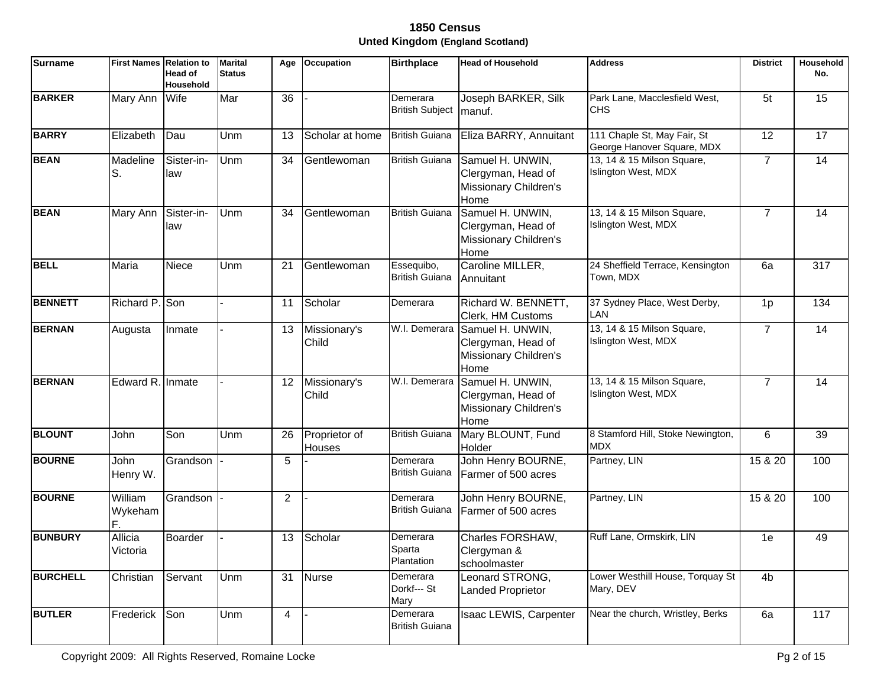| <b>Surname</b>  | <b>First Names Relation to</b> | <b>Head of</b><br><b>Household</b> | <b>Marital</b><br><b>Status</b> | Age | <b>Occupation</b>       | <b>Birthplace</b>                   | <b>Head of Household</b>                                                | <b>Address</b>                                            | <b>District</b> | Household<br>No. |
|-----------------|--------------------------------|------------------------------------|---------------------------------|-----|-------------------------|-------------------------------------|-------------------------------------------------------------------------|-----------------------------------------------------------|-----------------|------------------|
| <b>BARKER</b>   | Mary Ann                       | Wife                               | Mar                             | 36  |                         | Demerara<br><b>British Subject</b>  | Joseph BARKER, Silk<br>manuf.                                           | Park Lane, Macclesfield West,<br><b>CHS</b>               | 5 <sub>t</sub>  | 15               |
| <b>BARRY</b>    | Elizabeth                      | Dau                                | Unm                             | 13  | Scholar at home         | <b>British Guiana</b>               | Eliza BARRY, Annuitant                                                  | 111 Chaple St, May Fair, St<br>George Hanover Square, MDX | 12              | 17               |
| <b>BEAN</b>     | Madeline<br>lS.                | Sister-in-<br>law                  | Unm                             | 34  | Gentlewoman             | <b>British Guiana</b>               | Samuel H. UNWIN,<br>Clergyman, Head of<br>Missionary Children's<br>Home | 13, 14 & 15 Milson Square,<br>Islington West, MDX         | $\overline{7}$  | 14               |
| <b>BEAN</b>     | Mary Ann                       | Sister-in-<br>law                  | Unm                             | 34  | Gentlewoman             | <b>British Guiana</b>               | Samuel H. UNWIN,<br>Clergyman, Head of<br>Missionary Children's<br>Home | 13, 14 & 15 Milson Square,<br>Islington West, MDX         | $\overline{7}$  | $\overline{14}$  |
| <b>BELL</b>     | Maria                          | Niece                              | Unm                             | 21  | Gentlewoman             | Essequibo,<br><b>British Guiana</b> | Caroline MILLER,<br>Annuitant                                           | 24 Sheffield Terrace, Kensington<br>Town, MDX             | 6a              | 317              |
| <b>BENNETT</b>  | Richard P. Son                 |                                    |                                 | 11  | Scholar                 | Demerara                            | Richard W. BENNETT,<br>Clerk, HM Customs                                | 37 Sydney Place, West Derby,<br>LAN                       | 1 <sub>p</sub>  | 134              |
| <b>BERNAN</b>   | Augusta                        | Inmate                             |                                 | 13  | Missionary's<br>Child   | W.I. Demerara                       | Samuel H. UNWIN,<br>Clergyman, Head of<br>Missionary Children's<br>Home | 13, 14 & 15 Milson Square,<br>Islington West, MDX         | $\overline{7}$  | 14               |
| <b>BERNAN</b>   | Edward R. Inmate               |                                    |                                 | 12  | Missionary's<br>Child   | W.I. Demerara                       | Samuel H. UNWIN,<br>Clergyman, Head of<br>Missionary Children's<br>Home | 13, 14 & 15 Milson Square,<br>Islington West, MDX         | $\overline{7}$  | 14               |
| <b>BLOUNT</b>   | John                           | Son                                | Unm                             | 26  | Proprietor of<br>Houses | <b>British Guiana</b>               | Mary BLOUNT, Fund<br>Holder                                             | 8 Stamford Hill, Stoke Newington,<br><b>MDX</b>           | 6               | 39               |
| <b>BOURNE</b>   | John<br>Henry W.               | Grandson                           |                                 | 5   |                         | Demerara<br><b>British Guiana</b>   | John Henry BOURNE,<br>Farmer of 500 acres                               | Partney, LIN                                              | 15 & 20         | 100              |
| <b>BOURNE</b>   | William<br>Wykeham             | Grandson                           |                                 | 2   |                         | Demerara<br><b>British Guiana</b>   | John Henry BOURNE,<br>Farmer of 500 acres                               | Partney, LIN                                              | 15 & 20         | 100              |
| <b>BUNBURY</b>  | Allicia<br>Victoria            | Boarder                            |                                 | 13  | Scholar                 | Demerara<br>Sparta<br>Plantation    | Charles FORSHAW,<br>Clergyman &<br>schoolmaster                         | Ruff Lane, Ormskirk, LIN                                  | 1e              | 49               |
| <b>BURCHELL</b> | Christian                      | Servant                            | Unm                             | 31  | <b>Nurse</b>            | Demerara<br>Dorkf--- St<br>Mary     | Leonard STRONG,<br><b>Landed Proprietor</b>                             | Lower Westhill House, Torquay St<br>Mary, DEV             | 4 <sub>b</sub>  |                  |
| <b>BUTLER</b>   | Frederick                      | Son                                | Unm                             | 4   |                         | Demerara<br><b>British Guiana</b>   | Isaac LEWIS, Carpenter                                                  | Near the church, Wristley, Berks                          | 6a              | 117              |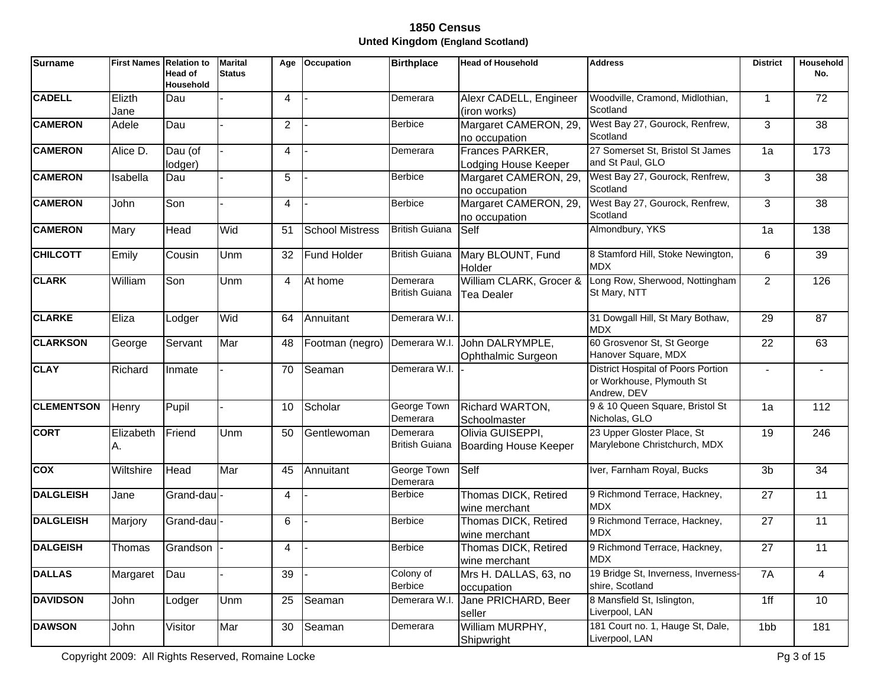| <b>Surname</b>    | <b>First Names Relation to</b> | Head of<br>Household | <b>Marital</b><br><b>Status</b> | Age            | Occupation             | <b>Birthplace</b>                 | <b>Head of Household</b>                         | <b>Address</b>                                                                        | <b>District</b>          | Household<br>No. |
|-------------------|--------------------------------|----------------------|---------------------------------|----------------|------------------------|-----------------------------------|--------------------------------------------------|---------------------------------------------------------------------------------------|--------------------------|------------------|
| <b>CADELL</b>     | Elizth<br>Jane                 | Dau                  |                                 | 4              |                        | Demerara                          | Alexr CADELL, Engineer<br>(iron works)           | Woodville, Cramond, Midlothian,<br>Scotland                                           | $\mathbf{1}$             | 72               |
| <b>CAMERON</b>    | Adele                          | Dau                  |                                 | $\overline{2}$ |                        | <b>Berbice</b>                    | Margaret CAMERON, 29,<br>no occupation           | West Bay 27, Gourock, Renfrew,<br>Scotland                                            | 3                        | 38               |
| <b>CAMERON</b>    | Alice D.                       | Dau (of<br>lodger)   |                                 | 4              |                        | Demerara                          | Frances PARKER,<br>Lodging House Keeper          | 27 Somerset St, Bristol St James<br>and St Paul, GLO                                  | 1a                       | 173              |
| <b>CAMERON</b>    | Isabella                       | Dau                  |                                 | 5              |                        | <b>Berbice</b>                    | Margaret CAMERON, 29,<br>no occupation           | West Bay 27, Gourock, Renfrew,<br>Scotland                                            | 3                        | 38               |
| <b>CAMERON</b>    | John                           | Son                  |                                 | $\overline{4}$ |                        | <b>Berbice</b>                    | Margaret CAMERON, 29,<br>no occupation           | West Bay 27, Gourock, Renfrew,<br>Scotland                                            | 3                        | 38               |
| <b>CAMERON</b>    | Mary                           | <b>Head</b>          | Wid                             | 51             | <b>School Mistress</b> | <b>British Guiana</b>             | Self                                             | Almondbury, YKS                                                                       | 1a                       | 138              |
| <b>CHILCOTT</b>   | Emily                          | Cousin               | Unm                             | 32             | Fund Holder            | <b>British Guiana</b>             | Mary BLOUNT, Fund<br>Holder                      | 8 Stamford Hill, Stoke Newington,<br><b>MDX</b>                                       | 6                        | 39               |
| <b>CLARK</b>      | William                        | Son                  | Unm                             | 4              | At home                | Demerara<br><b>British Guiana</b> | William CLARK, Grocer &<br>Tea Dealer            | Long Row, Sherwood, Nottingham<br>St Mary, NTT                                        | $\overline{2}$           | 126              |
| <b>CLARKE</b>     | Eliza                          | Lodger               | Wid                             | 64             | Annuitant              | Demerara W.I.                     |                                                  | 31 Dowgall Hill, St Mary Bothaw,<br><b>MDX</b>                                        | 29                       | 87               |
| <b>CLARKSON</b>   | George                         | Servant              | Mar                             | 48             | Footman (negro)        | Demerara W.I.                     | John DALRYMPLE,<br>Ophthalmic Surgeon            | 60 Grosvenor St, St George<br>Hanover Square, MDX                                     | 22                       | 63               |
| <b>CLAY</b>       | Richard                        | Inmate               |                                 | 70             | Seaman                 | Demerara W.I.                     |                                                  | <b>District Hospital of Poors Portion</b><br>or Workhouse, Plymouth St<br>Andrew, DEV | $\overline{\phantom{a}}$ |                  |
| <b>CLEMENTSON</b> | Henry                          | Pupil                |                                 | 10             | Scholar                | George Town<br>Demerara           | Richard WARTON,<br>Schoolmaster                  | 9 & 10 Queen Square, Bristol St<br>Nicholas, GLO                                      | 1a                       | 112              |
| <b>CORT</b>       | Elizabeth<br>A.                | Friend               | Unm                             | 50             | Gentlewoman            | Demerara<br><b>British Guiana</b> | Olivia GUISEPPI,<br><b>Boarding House Keeper</b> | 23 Upper Gloster Place, St<br>Marylebone Christchurch, MDX                            | 19                       | 246              |
| <b>COX</b>        | Wiltshire                      | Head                 | Mar                             | 45             | Annuitant              | George Town<br>Demerara           | Self                                             | Iver, Farnham Royal, Bucks                                                            | 3 <sub>b</sub>           | 34               |
| <b>DALGLEISH</b>  | Jane                           | Grand-dau            |                                 | 4              |                        | <b>Berbice</b>                    | Thomas DICK, Retired<br>wine merchant            | 9 Richmond Terrace, Hackney,<br><b>MDX</b>                                            | 27                       | 11               |
| <b>DALGLEISH</b>  | Marjory                        | Grand-dau            |                                 | 6              |                        | <b>Berbice</b>                    | Thomas DICK, Retired<br>wine merchant            | 9 Richmond Terrace, Hackney,<br>MDX                                                   | 27                       | 11               |
| <b>DALGEISH</b>   | Thomas                         | Grandson             |                                 | 4              |                        | <b>Berbice</b>                    | Thomas DICK, Retired<br>wine merchant            | 9 Richmond Terrace, Hackney,<br><b>MDX</b>                                            | 27                       | 11               |
| <b>DALLAS</b>     | Margaret                       | Dau                  |                                 | 39             |                        | Colony of<br><b>Berbice</b>       | Mrs H. DALLAS, 63, no<br>occupation              | 19 Bridge St, Inverness, Inverness-<br>shire, Scotland                                | 7A                       | 4                |
| <b>DAVIDSON</b>   | John                           | Lodger               | Unm                             | 25             | Seaman                 | Demerara W.I                      | Jane PRICHARD, Beer<br>seller                    | 8 Mansfield St, Islington,<br>Liverpool, LAN                                          | 1ff                      | 10               |
| <b>DAWSON</b>     | John                           | Visitor              | Mar                             | 30             | Seaman                 | Demerara                          | William MURPHY,<br>Shipwright                    | 181 Court no. 1, Hauge St, Dale,<br>Liverpool, LAN                                    | 1bb                      | 181              |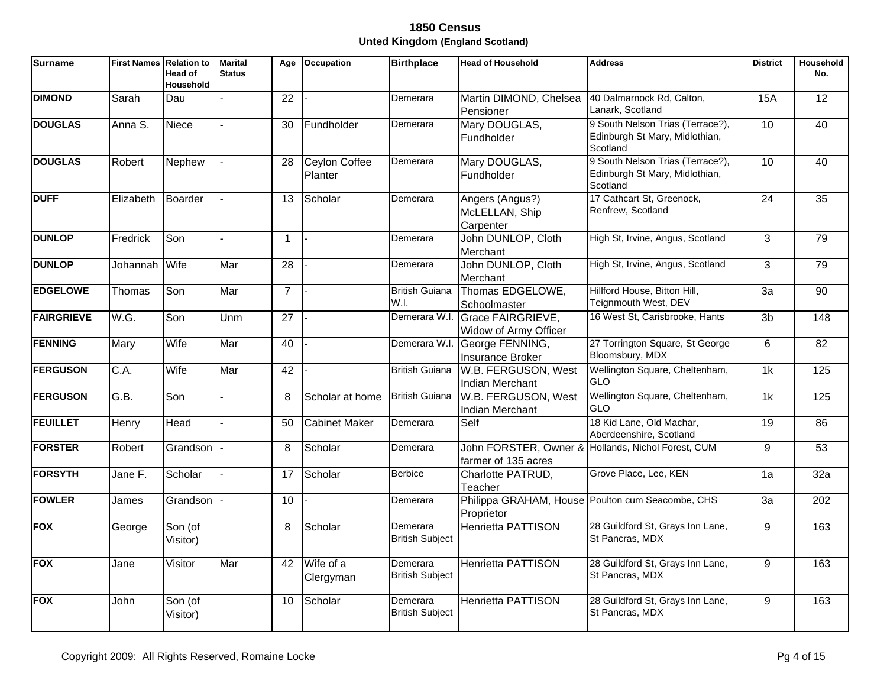| <b>Surname</b>    | <b>First Names Relation to</b> | <b>Head of</b><br><b>Household</b> | <b>Marital</b><br><b>Status</b> | Age             | <b>Occupation</b>               | <b>Birthplace</b>                  | <b>Head of Household</b>                          | <b>Address</b>                                                                 | <b>District</b> | Household<br>No. |
|-------------------|--------------------------------|------------------------------------|---------------------------------|-----------------|---------------------------------|------------------------------------|---------------------------------------------------|--------------------------------------------------------------------------------|-----------------|------------------|
| <b>DIMOND</b>     | Sarah                          | Dau                                |                                 | 22              |                                 | Demerara                           | Martin DIMOND, Chelsea<br>Pensioner               | 40 Dalmarnock Rd, Calton,<br>Lanark, Scotland                                  | <b>15A</b>      | 12 <sup>2</sup>  |
| <b>DOUGLAS</b>    | Anna S.                        | <b>Niece</b>                       |                                 | 30              | Fundholder                      | Demerara                           | Mary DOUGLAS,<br>Fundholder                       | 9 South Nelson Trias (Terrace?),<br>Edinburgh St Mary, Midlothian,<br>Scotland | 10              | 40               |
| <b>DOUGLAS</b>    | Robert                         | Nephew                             |                                 | 28              | <b>Ceylon Coffee</b><br>Planter | Demerara                           | Mary DOUGLAS,<br><b>Fundholder</b>                | 9 South Nelson Trias (Terrace?),<br>Edinburgh St Mary, Midlothian,<br>Scotland | 10              | 40               |
| <b>DUFF</b>       | Elizabeth                      | Boarder                            |                                 | 13              | Scholar                         | Demerara                           | Angers (Angus?)<br>McLELLAN, Ship<br>Carpenter    | 17 Cathcart St, Greenock,<br>Renfrew, Scotland                                 | $\overline{24}$ | 35               |
| <b>DUNLOP</b>     | Fredrick                       | Son                                |                                 | $\overline{1}$  |                                 | Demerara                           | John DUNLOP, Cloth<br>Merchant                    | High St, Irvine, Angus, Scotland                                               | 3               | 79               |
| <b>DUNLOP</b>     | Johannah                       | Wife                               | Mar                             | 28              |                                 | Demerara                           | John DUNLOP, Cloth<br>Merchant                    | High St, Irvine, Angus, Scotland                                               | 3               | 79               |
| <b>EDGELOWE</b>   | Thomas                         | Son                                | Mar                             | $\overline{7}$  |                                 | <b>British Guiana</b><br>W.I.      | Thomas EDGELOWE,<br>Schoolmaster                  | Hillford House, Bitton Hill,<br>Teignmouth West, DEV                           | $\overline{3a}$ | $\overline{90}$  |
| <b>FAIRGRIEVE</b> | W.G.                           | Son                                | Unm                             | $\overline{27}$ |                                 | Demerara W.I.                      | <b>Grace FAIRGRIEVE,</b><br>Widow of Army Officer | 16 West St, Carisbrooke, Hants                                                 | 3 <sub>b</sub>  | $\overline{148}$ |
| <b>FENNING</b>    | Mary                           | Wife                               | Mar                             | 40              |                                 | Demerara W.I.                      | George FENNING,<br>Insurance Broker               | 27 Torrington Square, St George<br>Bloomsbury, MDX                             | 6               | 82               |
| <b>FERGUSON</b>   | C.A.                           | Wife                               | Mar                             | 42              |                                 | <b>British Guiana</b>              | W.B. FERGUSON, West<br><b>Indian Merchant</b>     | Wellington Square, Cheltenham,<br><b>GLO</b>                                   | 1k              | 125              |
| <b>FERGUSON</b>   | G.B.                           | Son                                |                                 | 8               | Scholar at home                 | <b>British Guiana</b>              | W.B. FERGUSON, West<br>Indian Merchant            | Wellington Square, Cheltenham,<br><b>GLO</b>                                   | 1k              | 125              |
| <b>FEUILLET</b>   | Henry                          | Head                               |                                 | 50              | <b>Cabinet Maker</b>            | Demerara                           | Self                                              | 18 Kid Lane, Old Machar,<br>Aberdeenshire, Scotland                            | 19              | 86               |
| <b>FORSTER</b>    | Robert                         | Grandson                           |                                 | 8               | Scholar                         | Demerara                           | farmer of 135 acres                               | John FORSTER, Owner & Hollands, Nichol Forest, CUM                             | 9               | 53               |
| <b>FORSYTH</b>    | Jane F.                        | Scholar                            |                                 | 17              | Scholar                         | <b>Berbice</b>                     | Charlotte PATRUD,<br>Teacher                      | Grove Place, Lee, KEN                                                          | 1a              | 32a              |
| <b>FOWLER</b>     | James                          | Grandson                           |                                 | 10              |                                 | Demerara                           | Proprietor                                        | Philippa GRAHAM, House Poulton cum Seacombe, CHS                               | 3a              | 202              |
| <b>FOX</b>        | George                         | Son (of<br>Visitor)                |                                 | 8               | Scholar                         | Demerara<br><b>British Subject</b> | <b>Henrietta PATTISON</b>                         | 28 Guildford St, Grays Inn Lane,<br>St Pancras, MDX                            | 9               | 163              |
| <b>FOX</b>        | Jane                           | Visitor                            | Mar                             | 42              | Wife of a<br>Clergyman          | Demerara<br><b>British Subject</b> | <b>Henrietta PATTISON</b>                         | 28 Guildford St, Grays Inn Lane,<br>St Pancras, MDX                            | 9               | 163              |
| <b>FOX</b>        | John                           | Son (of<br>Visitor)                |                                 | 10              | Scholar                         | Demerara<br><b>British Subject</b> | <b>Henrietta PATTISON</b>                         | 28 Guildford St, Grays Inn Lane,<br>St Pancras, MDX                            | 9               | 163              |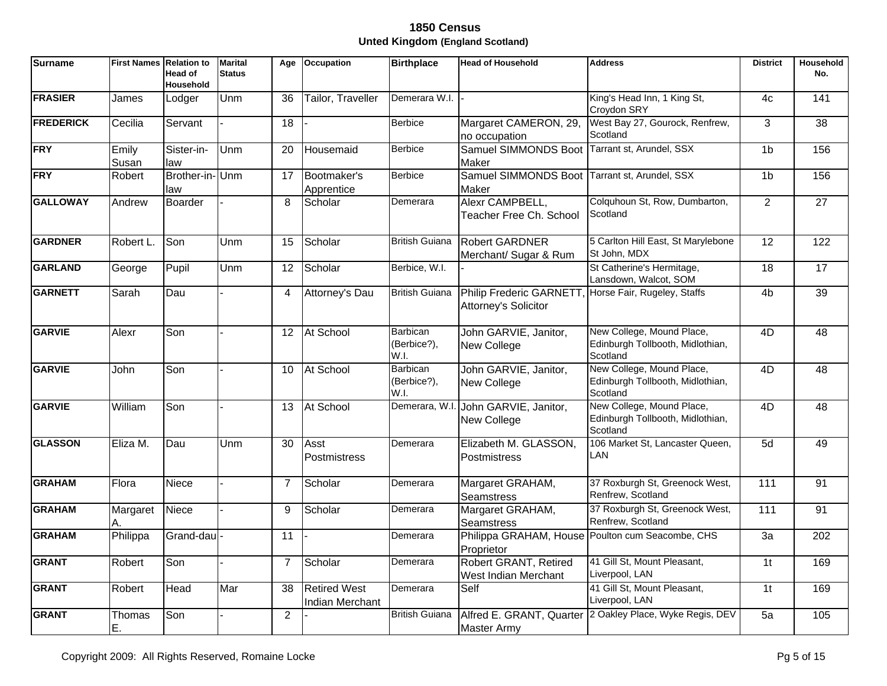| <b>Surname</b>   | <b>First Names Relation to</b> | <b>Head of</b><br>Household | <b>Marital</b><br><b>Status</b> | Age             | Occupation                             | <b>Birthplace</b>               | <b>Head of Household</b>                               | <b>Address</b>                                                            | <b>District</b> | Household<br>No. |
|------------------|--------------------------------|-----------------------------|---------------------------------|-----------------|----------------------------------------|---------------------------------|--------------------------------------------------------|---------------------------------------------------------------------------|-----------------|------------------|
| <b>FRASIER</b>   | James                          | Lodger                      | Unm                             | 36              | Tailor, Traveller                      | Demerara W.I.                   |                                                        | King's Head Inn, 1 King St,<br>Croydon SRY                                | 4c              | 141              |
| <b>FREDERICK</b> | Cecilia                        | Servant                     |                                 | $\overline{18}$ |                                        | <b>Berbice</b>                  | Margaret CAMERON, 29,<br>no occupation                 | West Bay 27, Gourock, Renfrew,<br>Scotland                                | 3               | $\overline{38}$  |
| <b>FRY</b>       | Emily<br>Susan                 | Sister-in-<br>law           | Unm                             | 20              | Housemaid                              | <b>Berbice</b>                  | Samuel SIMMONDS Boot Tarrant st, Arundel, SSX<br>Maker |                                                                           | 1 <sub>b</sub>  | 156              |
| <b>FRY</b>       | Robert                         | Brother-in-Unm<br>law       |                                 | 17              | Bootmaker's<br>Apprentice              | <b>Berbice</b>                  | Samuel SIMMONDS Boot Tarrant st, Arundel, SSX<br>Maker |                                                                           | 1 <sub>b</sub>  | 156              |
| <b>GALLOWAY</b>  | Andrew                         | Boarder                     |                                 | 8               | Scholar                                | Demerara                        | Alexr CAMPBELL,<br>Teacher Free Ch. School             | Colquhoun St, Row, Dumbarton,<br>Scotland                                 | $\overline{2}$  | $\overline{27}$  |
| <b>GARDNER</b>   | Robert L.                      | Son                         | Unm                             | 15              | Scholar                                | <b>British Guiana</b>           | <b>Robert GARDNER</b><br>Merchant/ Sugar & Rum         | 5 Carlton Hill East, St Marylebone<br>St John, MDX                        | $\overline{12}$ | 122              |
| <b>GARLAND</b>   | George                         | Pupil                       | Unm                             | 12              | Scholar                                | Berbice, W.I.                   |                                                        | St Catherine's Hermitage,<br>Lansdown, Walcot, SOM                        | 18              | 17               |
| <b>GARNETT</b>   | Sarah                          | Dau                         |                                 | $\overline{4}$  | Attorney's Dau                         | <b>British Guiana</b>           | <b>Philip Frederic GARNETT</b><br>Attorney's Solicitor | Horse Fair, Rugeley, Staffs                                               | 4 <sub>b</sub>  | 39               |
| <b>GARVIE</b>    | Alexr                          | Son                         |                                 | 12              | At School                              | Barbican<br>(Berbice?),<br>W.I. | John GARVIE, Janitor,<br>New College                   | New College, Mound Place,<br>Edinburgh Tollbooth, Midlothian,<br>Scotland | 4D              | 48               |
| <b>GARVIE</b>    | John                           | Son                         |                                 | 10              | At School                              | Barbican<br>(Berbice?),<br>W.I. | John GARVIE, Janitor,<br>New College                   | New College, Mound Place,<br>Edinburgh Tollbooth, Midlothian,<br>Scotland | 4D              | 48               |
| <b>GARVIE</b>    | William                        | Son                         |                                 | 13              | At School                              |                                 | Demerara, W.I. John GARVIE, Janitor,<br>New College    | New College, Mound Place,<br>Edinburgh Tollbooth, Midlothian,<br>Scotland | 4D              | $\overline{48}$  |
| <b>GLASSON</b>   | Eliza M.                       | Dau                         | Unm                             | 30              | Asst<br>Postmistress                   | Demerara                        | Elizabeth M. GLASSON,<br>Postmistress                  | 106 Market St, Lancaster Queen,<br>LAN                                    | 5d              | 49               |
| <b>GRAHAM</b>    | Flora                          | Niece                       |                                 | $\overline{7}$  | Scholar                                | Demerara                        | Margaret GRAHAM,<br><b>Seamstress</b>                  | 37 Roxburgh St, Greenock West,<br>Renfrew, Scotland                       | 111             | 91               |
| <b>GRAHAM</b>    | Margaret<br>A.                 | Niece                       |                                 | 9               | Scholar                                | Demerara                        | Margaret GRAHAM,<br><b>Seamstress</b>                  | 37 Roxburgh St, Greenock West,<br>Renfrew, Scotland                       | 111             | 91               |
| <b>GRAHAM</b>    | Philippa                       | Grand-dau                   |                                 | $\overline{11}$ |                                        | Demerara                        | Proprietor                                             | Philippa GRAHAM, House Poulton cum Seacombe, CHS                          | $\overline{3a}$ | $\overline{202}$ |
| <b>GRANT</b>     | Robert                         | Son                         |                                 | $\overline{7}$  | Scholar                                | Demerara                        | Robert GRANT, Retired<br>West Indian Merchant          | 41 Gill St, Mount Pleasant,<br>Liverpool, LAN                             | 1 <sub>t</sub>  | 169              |
| <b>GRANT</b>     | Robert                         | Head                        | Mar                             | 38              | <b>Retired West</b><br>Indian Merchant | Demerara                        | Self                                                   | 41 Gill St, Mount Pleasant,<br>Liverpool, LAN                             | 1 <sub>t</sub>  | 169              |
| <b>GRANT</b>     | Thomas<br>Ε.                   | Son                         |                                 | $\overline{2}$  |                                        | <b>British Guiana</b>           | <b>Master Army</b>                                     | Alfred E. GRANT, Quarter 2 Oakley Place, Wyke Regis, DEV                  | $\overline{5a}$ | 105              |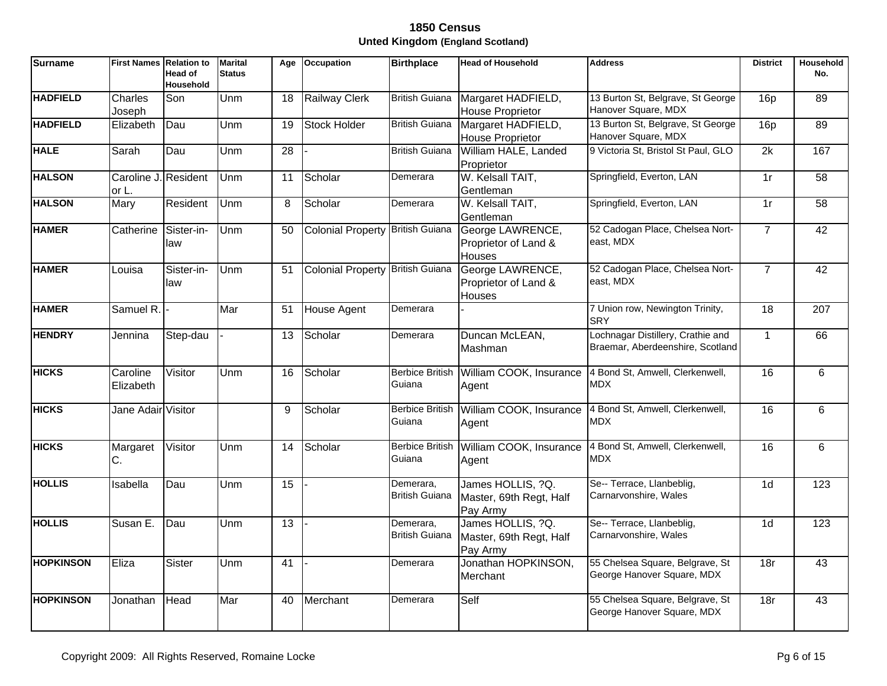| <b>Surname</b>   | <b>First Names Relation to</b> | <b>Head of</b><br><b>Household</b> | <b>Marital</b><br><b>Status</b> | Age | <b>Occupation</b>                | <b>Birthplace</b>                  | <b>Head of Household</b>                                 | <b>Address</b>                                                        | <b>District</b> | Household<br>No. |
|------------------|--------------------------------|------------------------------------|---------------------------------|-----|----------------------------------|------------------------------------|----------------------------------------------------------|-----------------------------------------------------------------------|-----------------|------------------|
| <b>HADFIELD</b>  | Charles<br>Joseph              | Son                                | Unm                             | 18  | Railway Clerk                    | <b>British Guiana</b>              | Margaret HADFIELD,<br><b>House Proprietor</b>            | 13 Burton St, Belgrave, St George<br>Hanover Square, MDX              | 16 <sub>D</sub> | 89               |
| <b>HADFIELD</b>  | Elizabeth                      | Dau                                | Unm                             | 19  | Stock Holder                     | <b>British Guiana</b>              | Margaret HADFIELD,<br><b>House Proprietor</b>            | 13 Burton St, Belgrave, St George<br>Hanover Square, MDX              | 16p             | 89               |
| <b>HALE</b>      | Sarah                          | Dau                                | Unm                             | 28  |                                  | <b>British Guiana</b>              | William HALE, Landed<br>Proprietor                       | 9 Victoria St, Bristol St Paul, GLO                                   | 2k              | 167              |
| <b>HALSON</b>    | Caroline J. Resident<br>or L.  |                                    | Unm                             | 11  | Scholar                          | Demerara                           | W. Kelsall TAIT,<br>Gentleman                            | Springfield, Everton, LAN                                             | 1r              | $\overline{58}$  |
| <b>HALSON</b>    | Mary                           | Resident                           | Unm                             | 8   | Scholar                          | Demerara                           | W. Kelsall TAIT,<br>Gentleman                            | Springfield, Everton, LAN                                             | 1r              | $\overline{58}$  |
| <b>HAMER</b>     | Catherine                      | Sister-in-<br>law                  | Unm                             | 50  | Colonial Property British Guiana |                                    | George LAWRENCE,<br>Proprietor of Land &<br>Houses       | 52 Cadogan Place, Chelsea Nort-<br>east, MDX                          | $\overline{7}$  | 42               |
| <b>HAMER</b>     | Louisa                         | Sister-in-<br>law                  | Unm                             | 51  | Colonial Property British Guiana |                                    | George LAWRENCE,<br>Proprietor of Land &<br>Houses       | 52 Cadogan Place, Chelsea Nort-<br>east, MDX                          | $\overline{7}$  | 42               |
| <b>HAMER</b>     | Samuel R.                      |                                    | Mar                             | 51  | House Agent                      | Demerara                           |                                                          | 7 Union row, Newington Trinity,<br><b>SRY</b>                         | $\overline{18}$ | 207              |
| <b>HENDRY</b>    | Jennina                        | Step-dau                           |                                 | 13  | Scholar                          | Demerara                           | Duncan McLEAN,<br>Mashman                                | Lochnagar Distillery, Crathie and<br>Braemar, Aberdeenshire, Scotland | $\overline{1}$  | 66               |
| <b>HICKS</b>     | Caroline<br>Elizabeth          | Visitor                            | Unm                             | 16  | Scholar                          | <b>Berbice British</b><br>Guiana   | William COOK, Insurance<br>Agent                         | 4 Bond St, Amwell, Clerkenwell,<br>MDX                                | 16              | 6                |
| <b>HICKS</b>     | Jane Adair Visitor             |                                    |                                 | 9   | Scholar                          | Guiana                             | Berbice British William COOK, Insurance<br>Agent         | 4 Bond St, Amwell, Clerkenwell,<br><b>MDX</b>                         | 16              | 6                |
| <b>HICKS</b>     | Margaret<br>C.                 | Visitor                            | Unm                             | 14  | Scholar                          | Guiana                             | Berbice British William COOK, Insurance<br>Agent         | 4 Bond St, Amwell, Clerkenwell,<br><b>MDX</b>                         | 16              | 6                |
| <b>HOLLIS</b>    | Isabella                       | Dau                                | Unm                             | 15  |                                  | Demerara.<br><b>British Guiana</b> | James HOLLIS, ?Q.<br>Master, 69th Regt, Half<br>Pay Army | Se-- Terrace, Llanbeblig,<br>Carnarvonshire, Wales                    | 1 <sub>d</sub>  | 123              |
| <b>HOLLIS</b>    | Susan E.                       | Dau                                | Unm                             | 13  |                                  | Demerara.<br><b>British Guiana</b> | James HOLLIS, ?Q.<br>Master, 69th Regt, Half<br>Pay Army | Se-- Terrace, Llanbeblig,<br>Carnarvonshire, Wales                    | 1 <sub>d</sub>  | 123              |
| <b>HOPKINSON</b> | Eliza                          | Sister                             | Unm                             | 41  |                                  | Demerara                           | Jonathan HOPKINSON,<br>Merchant                          | 55 Chelsea Square, Belgrave, St<br>George Hanover Square, MDX         | 18r             | 43               |
| <b>HOPKINSON</b> | Jonathan                       | Head                               | Mar                             | 40  | Merchant                         | Demerara                           | Self                                                     | 55 Chelsea Square, Belgrave, St<br>George Hanover Square, MDX         | 18r             | 43               |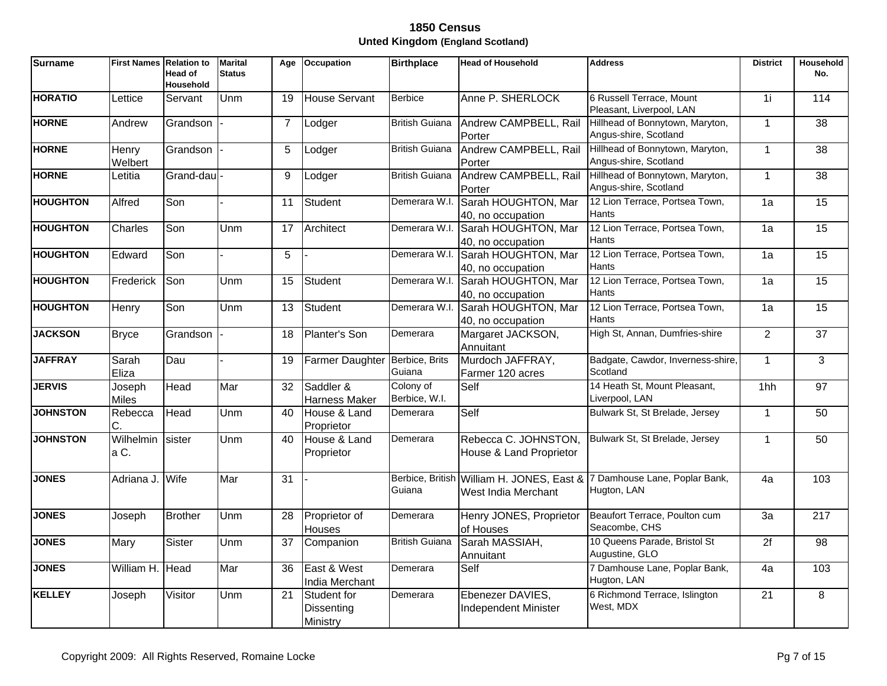| <b>Surname</b>  | <b>First Names Relation to</b> | <b>Head of</b><br><b>Household</b> | <b>Marital</b><br><b>Status</b> | Age            | <b>Occupation</b>                     | <b>Birthplace</b>          | <b>Head of Household</b>                        | <b>Address</b>                                                                         | <b>District</b> | Household<br>No. |
|-----------------|--------------------------------|------------------------------------|---------------------------------|----------------|---------------------------------------|----------------------------|-------------------------------------------------|----------------------------------------------------------------------------------------|-----------------|------------------|
| <b>HORATIO</b>  | Lettice                        | Servant                            | Unm                             | 19             | <b>House Servant</b>                  | <b>Berbice</b>             | Anne P. SHERLOCK                                | 6 Russell Terrace, Mount<br>Pleasant, Liverpool, LAN                                   | 1i              | 114              |
| <b>HORNE</b>    | Andrew                         | Grandson                           |                                 | $\overline{7}$ | Lodger                                | <b>British Guiana</b>      | Andrew CAMPBELL, Rail<br>Porter                 | Hillhead of Bonnytown, Maryton,<br>Angus-shire, Scotland                               | $\mathbf{1}$    | $\overline{38}$  |
| <b>HORNE</b>    | Henry<br>Welbert               | Grandson                           |                                 | 5              | Lodger                                | <b>British Guiana</b>      | Andrew CAMPBELL, Rail<br>Porter                 | Hillhead of Bonnytown, Maryton,<br>Angus-shire, Scotland                               | $\mathbf{1}$    | $\overline{38}$  |
| <b>HORNE</b>    | Letitia                        | Grand-dau                          |                                 | 9              | Lodger                                | <b>British Guiana</b>      | Andrew CAMPBELL, Rail<br>Porter                 | Hillhead of Bonnytown, Maryton,<br>Angus-shire, Scotland                               | $\overline{1}$  | 38               |
| <b>HOUGHTON</b> | Alfred                         | Son                                |                                 | 11             | Student                               | Demerara W.I.              | Sarah HOUGHTON, Mar<br>40, no occupation        | 12 Lion Terrace, Portsea Town,<br>Hants                                                | 1a              | $\overline{15}$  |
| <b>HOUGHTON</b> | Charles                        | Son                                | Unm                             | 17             | Architect                             | Demerara W.I.              | Sarah HOUGHTON, Mar<br>40, no occupation        | 12 Lion Terrace, Portsea Town,<br>Hants                                                | 1a              | 15               |
| <b>HOUGHTON</b> | Edward                         | Son                                |                                 | 5              |                                       | Demerara W.I.              | Sarah HOUGHTON, Mar<br>40, no occupation        | 12 Lion Terrace, Portsea Town,<br>Hants                                                | 1a              | $\overline{15}$  |
| <b>HOUGHTON</b> | Frederick                      | Son                                | Unm                             | 15             | <b>Student</b>                        | Demerara W.I.              | Sarah HOUGHTON, Mar<br>40, no occupation        | 12 Lion Terrace, Portsea Town,<br>Hants                                                | 1a              | 15               |
| <b>HOUGHTON</b> | <b>Henry</b>                   | Son                                | Unm                             | 13             | <b>Student</b>                        | Demerara W.I.              | Sarah HOUGHTON, Mar<br>40, no occupation        | 12 Lion Terrace, Portsea Town,<br>Hants                                                | 1a              | 15               |
| <b>JACKSON</b>  | <b>Bryce</b>                   | Grandson                           |                                 | 18             | Planter's Son                         | Demerara                   | Margaret JACKSON,<br>Annuitant                  | High St, Annan, Dumfries-shire                                                         | $\overline{2}$  | $\overline{37}$  |
| <b>JAFFRAY</b>  | Sarah<br>Eliza                 | Dau                                |                                 | 19             | <b>Farmer Daughter</b>                | Berbice, Brits<br>Guiana   | Murdoch JAFFRAY,<br>Farmer 120 acres            | Badgate, Cawdor, Inverness-shire,<br>Scotland                                          | $\mathbf{1}$    | $\overline{3}$   |
| <b>JERVIS</b>   | Joseph<br><b>Miles</b>         | Head                               | Mar                             | 32             | Saddler &<br>Harness Maker            | Colony of<br>Berbice, W.I. | Self                                            | 14 Heath St, Mount Pleasant,<br>Liverpool, LAN                                         | 1hh             | $\overline{97}$  |
| <b>JOHNSTON</b> | Rebecca<br>C.                  | Head                               | Unm                             | 40             | House & Land<br>Proprietor            | Demerara                   | Self                                            | Bulwark St, St Brelade, Jersey                                                         | $\mathbf{1}$    | 50               |
| <b>JOHNSTON</b> | Wilhelmin<br>a C.              | sister                             | Unm                             | 40             | House & Land<br>Proprietor            | Demerara                   | Rebecca C. JOHNSTON,<br>House & Land Proprietor | Bulwark St, St Brelade, Jersey                                                         | 1               | 50               |
| <b>JONES</b>    | Adriana J.                     | Wife                               | Mar                             | 31             |                                       | Guiana                     | West India Merchant                             | Berbice, British William H. JONES, East & 7 Damhouse Lane, Poplar Bank,<br>Hugton, LAN | 4a              | 103              |
| <b>JONES</b>    | Joseph                         | <b>Brother</b>                     | Unm                             | 28             | Proprietor of<br>Houses               | Demerara                   | Henry JONES, Proprietor<br>of Houses            | Beaufort Terrace, Poulton cum<br>Seacombe, CHS                                         | 3a              | 217              |
| <b>JONES</b>    | Mary                           | Sister                             | Unm                             | 37             | Companion                             | <b>British Guiana</b>      | Sarah MASSIAH,<br>Annuitant                     | 10 Queens Parade, Bristol St<br>Augustine, GLO                                         | $\overline{2f}$ | $\overline{98}$  |
| <b>JONES</b>    | William H. Head                |                                    | Mar                             | 36             | East & West<br>India Merchant         | Demerara                   | Self                                            | 7 Damhouse Lane, Poplar Bank,<br>Hugton, LAN                                           | 4a              | 103              |
| <b>KELLEY</b>   | Joseph                         | Visitor                            | Unm                             | 21             | Student for<br>Dissenting<br>Ministry | Demerara                   | Ebenezer DAVIES,<br>Independent Minister        | 6 Richmond Terrace, Islington<br>West, MDX                                             | $\overline{21}$ | 8                |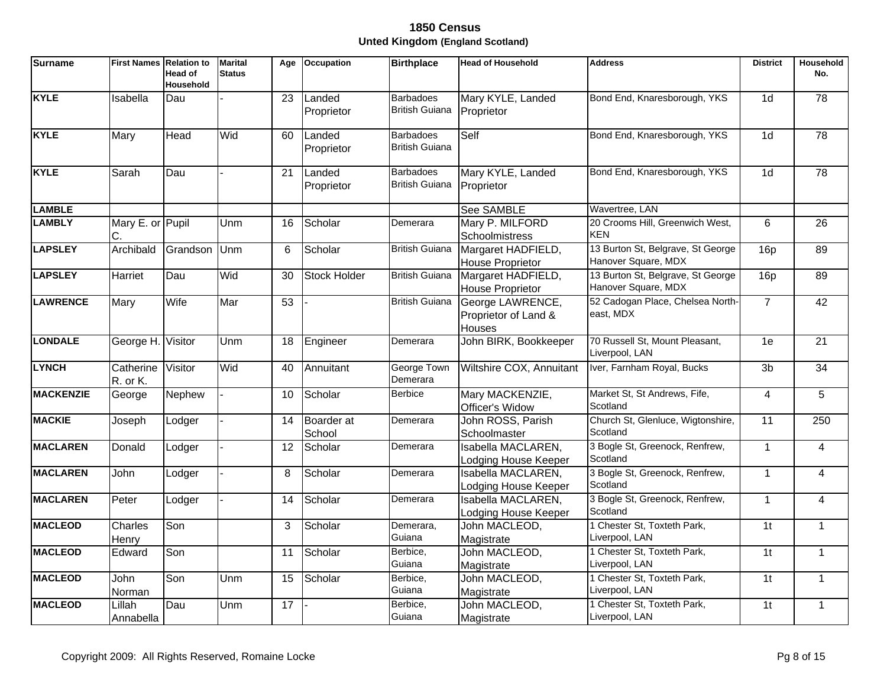| <b>Surname</b>   | <b>First Names Relation to</b> | <b>Head of</b><br>Household | <b>Marital</b><br><b>Status</b> | Age             | Occupation           | <b>Birthplace</b>                         | <b>Head of Household</b>                                  | <b>Address</b>                                           | <b>District</b> | Household<br>No. |
|------------------|--------------------------------|-----------------------------|---------------------------------|-----------------|----------------------|-------------------------------------------|-----------------------------------------------------------|----------------------------------------------------------|-----------------|------------------|
| <b>KYLE</b>      | Isabella                       | Dau                         |                                 | $\overline{23}$ | Landed<br>Proprietor | <b>Barbadoes</b><br><b>British Guiana</b> | Mary KYLE, Landed<br>Proprietor                           | Bond End, Knaresborough, YKS                             | $\overline{1d}$ | 78               |
| <b>KYLE</b>      | Mary                           | Head                        | Wid                             | 60              | Landed<br>Proprietor | <b>Barbadoes</b><br><b>British Guiana</b> | Self                                                      | Bond End, Knaresborough, YKS                             | 1 <sub>d</sub>  | 78               |
| <b>KYLE</b>      | Sarah                          | Dau                         |                                 | 21              | Landed<br>Proprietor | <b>Barbadoes</b><br><b>British Guiana</b> | Mary KYLE, Landed<br>Proprietor                           | Bond End, Knaresborough, YKS                             | 1 <sub>d</sub>  | 78               |
| <b>LAMBLE</b>    |                                |                             |                                 |                 |                      |                                           | <b>See SAMBLE</b>                                         | Wavertree, LAN                                           |                 |                  |
| <b>LAMBLY</b>    | Mary E. or Pupil               |                             | Unm                             | 16              | Scholar              | Demerara                                  | Mary P. MILFORD<br>Schoolmistress                         | 20 Crooms Hill, Greenwich West,<br><b>KEN</b>            | 6               | 26               |
| <b>LAPSLEY</b>   | Archibald                      | Grandson                    | Unm                             | 6               | Scholar              | <b>British Guiana</b>                     | Margaret HADFIELD,<br>House Proprietor                    | 13 Burton St, Belgrave, St George<br>Hanover Square, MDX | 16p             | 89               |
| <b>LAPSLEY</b>   | Harriet                        | Dau                         | Wid                             | 30              | <b>Stock Holder</b>  | <b>British Guiana</b>                     | Margaret HADFIELD,<br>House Proprietor                    | 13 Burton St, Belgrave, St George<br>Hanover Square, MDX | 16p             | 89               |
| <b>LAWRENCE</b>  | Mary                           | Wife                        | Mar                             | 53              |                      | <b>British Guiana</b>                     | George LAWRENCE,<br>Proprietor of Land &<br><b>Houses</b> | 52 Cadogan Place, Chelsea North-<br>east, MDX            | $\overline{7}$  | 42               |
| <b>LONDALE</b>   | George H.                      | Visitor                     | Unm                             | 18              | Engineer             | Demerara                                  | John BIRK, Bookkeeper                                     | 70 Russell St, Mount Pleasant,<br>Liverpool, LAN         | 1e              | $\overline{21}$  |
| <b>LYNCH</b>     | Catherine<br>R. or K.          | Visitor                     | Wid                             | 40              | Annuitant            | George Town<br>Demerara                   | Wiltshire COX, Annuitant                                  | Iver, Farnham Royal, Bucks                               | 3 <sub>b</sub>  | $\overline{34}$  |
| <b>MACKENZIE</b> | George                         | Nephew                      |                                 | 10              | Scholar              | <b>Berbice</b>                            | Mary MACKENZIE,<br>Officer's Widow                        | Market St, St Andrews, Fife,<br>Scotland                 | $\overline{4}$  | 5                |
| <b>MACKIE</b>    | Joseph                         | Lodger                      |                                 | 14              | Boarder at<br>School | Demerara                                  | John ROSS, Parish<br>Schoolmaster                         | Church St, Glenluce, Wigtonshire,<br>Scotland            | 11              | 250              |
| <b>MACLAREN</b>  | Donald                         | Lodger                      |                                 | 12              | Scholar              | Demerara                                  | Isabella MACLAREN,<br>Lodging House Keeper                | 3 Bogle St, Greenock, Renfrew,<br>Scotland               | $\mathbf{1}$    | 4                |
| <b>MACLAREN</b>  | John                           | Lodger                      |                                 | 8               | Scholar              | Demerara                                  | Isabella MACLAREN,<br>Lodging House Keeper                | 3 Bogle St, Greenock, Renfrew,<br>Scotland               | $\mathbf{1}$    | 4                |
| <b>MACLAREN</b>  | Peter                          | Lodger                      |                                 | 14              | Scholar              | Demerara                                  | Isabella MACLAREN,<br>Lodging House Keeper                | 3 Bogle St, Greenock, Renfrew,<br>Scotland               | $\mathbf{1}$    | 4                |
| <b>MACLEOD</b>   | Charles<br>Henry               | Son                         |                                 | 3               | Scholar              | Demerara,<br>Guiana                       | John MACLEOD,<br>Magistrate                               | 1 Chester St, Toxteth Park,<br>Liverpool, LAN            | $\overline{1}$  | $\mathbf{1}$     |
| <b>MACLEOD</b>   | Edward                         | Son                         |                                 | 11              | Scholar              | Berbice,<br>Guiana                        | John MACLEOD,<br>Magistrate                               | 1 Chester St, Toxteth Park,<br>Liverpool, LAN            | 1 <sub>t</sub>  | $\mathbf{1}$     |
| <b>MACLEOD</b>   | John<br>Norman                 | Son                         | Unm                             | $\overline{15}$ | Scholar              | Berbice,<br>Guiana                        | John MACLEOD,<br>Magistrate                               | 1 Chester St, Toxteth Park,<br>Liverpool, LAN            | $\overline{1}$  | $\mathbf{1}$     |
| <b>MACLEOD</b>   | Lillah<br>Annabella            | Dau                         | Unm                             | 17              |                      | Berbice,<br>Guiana                        | John MACLEOD,<br>Magistrate                               | 1 Chester St, Toxteth Park,<br>Liverpool, LAN            | 1 <sub>t</sub>  | $\mathbf{1}$     |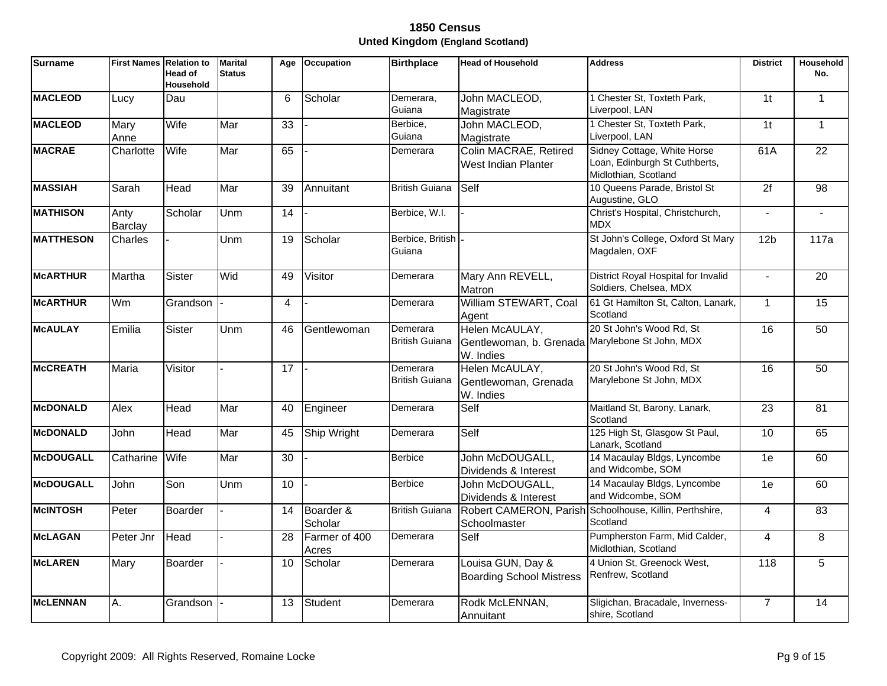| <b>Surname</b>   | <b>First Names</b>     | <b>Relation to</b><br>Head of<br><b>Household</b> | <b>Marital</b><br><b>Status</b> | Age             | <b>Occupation</b>      | <b>Birthplace</b>                 | <b>Head of Household</b>                                                       | <b>Address</b>                                                                       | <b>District</b> | Household<br>No. |
|------------------|------------------------|---------------------------------------------------|---------------------------------|-----------------|------------------------|-----------------------------------|--------------------------------------------------------------------------------|--------------------------------------------------------------------------------------|-----------------|------------------|
| <b>MACLEOD</b>   | Lucy                   | Dau                                               |                                 | 6               | Scholar                | Demerara,<br>Guiana               | John MACLEOD,<br>Magistrate                                                    | 1 Chester St, Toxteth Park,<br>Liverpool, LAN                                        | $\overline{1}$  | $\mathbf{1}$     |
| <b>MACLEOD</b>   | Mary<br>Anne           | Wife                                              | Mar                             | 33              |                        | Berbice,<br>Guiana                | John MACLEOD,<br>Magistrate                                                    | 1 Chester St, Toxteth Park,<br>Liverpool, LAN                                        | 1 <sub>t</sub>  | $\mathbf{1}$     |
| <b>MACRAE</b>    | Charlotte              | Wife                                              | Mar                             | 65              |                        | Demerara                          | Colin MACRAE, Retired<br>West Indian Planter                                   | Sidney Cottage, White Horse<br>Loan, Edinburgh St Cuthberts,<br>Midlothian, Scotland | 61A             | $\overline{22}$  |
| <b>MASSIAH</b>   | Sarah                  | Head                                              | Mar                             | 39              | Annuitant              | <b>British Guiana</b>             | Self                                                                           | 10 Queens Parade, Bristol St<br>Augustine, GLO                                       | $\overline{2f}$ | $\overline{98}$  |
| <b>MATHISON</b>  | Anty<br><b>Barclay</b> | Scholar                                           | Unm                             | 14              |                        | Berbice, W.I.                     |                                                                                | Christ's Hospital, Christchurch,<br><b>MDX</b>                                       | $\blacksquare$  |                  |
| <b>MATTHESON</b> | Charles                |                                                   | Unm                             | 19              | Scholar                | Berbice, British<br>Guiana        |                                                                                | St John's College, Oxford St Mary<br>Magdalen, OXF                                   | 12 <sub>b</sub> | 117a             |
| <b>McARTHUR</b>  | Martha                 | Sister                                            | Wid                             | 49              | Visitor                | Demerara                          | Mary Ann REVELL,<br>Matron                                                     | District Royal Hospital for Invalid<br>Soldiers, Chelsea, MDX                        | $\blacksquare$  | $\overline{20}$  |
| <b>McARTHUR</b>  | Wm                     | Grandson                                          |                                 | $\overline{4}$  |                        | Demerara                          | William STEWART, Coal<br>Agent                                                 | 61 Gt Hamilton St, Calton, Lanark,<br>Scotland                                       | $\mathbf{1}$    | $\overline{15}$  |
| <b>McAULAY</b>   | Emilia                 | Sister                                            | Unm                             | 46              | Gentlewoman            | Demerara<br><b>British Guiana</b> | Helen McAULAY,<br>Gentlewoman, b. Grenada Marylebone St John, MDX<br>W. Indies | 20 St John's Wood Rd, St                                                             | 16              | 50               |
| <b>McCREATH</b>  | Maria                  | Visitor                                           |                                 | $\overline{17}$ |                        | Demerara<br><b>British Guiana</b> | Helen McAULAY,<br>Gentlewoman, Grenada<br>W. Indies                            | 20 St John's Wood Rd, St<br>Marylebone St John, MDX                                  | 16              | 50               |
| <b>McDONALD</b>  | Alex                   | Head                                              | Mar                             | 40              | Engineer               | Demerara                          | Self                                                                           | Maitland St, Barony, Lanark,<br>Scotland                                             | $\overline{23}$ | $\overline{81}$  |
| <b>McDONALD</b>  | John                   | Head                                              | Mar                             | 45              | Ship Wright            | Demerara                          | Self                                                                           | 125 High St, Glasgow St Paul,<br>Lanark, Scotland                                    | 10              | 65               |
| <b>McDOUGALL</b> | Catharine              | Wife                                              | Mar                             | 30              |                        | <b>Berbice</b>                    | John McDOUGALL,<br>Dividends & Interest                                        | 14 Macaulay Bldgs, Lyncombe<br>and Widcombe, SOM                                     | 1e              | 60               |
| <b>McDOUGALL</b> | John                   | Son                                               | Unm                             | 10              |                        | <b>Berbice</b>                    | John McDOUGALL,<br>Dividends & Interest                                        | 14 Macaulay Bldgs, Lyncombe<br>and Widcombe, SOM                                     | 1e              | 60               |
| <b>McINTOSH</b>  | Peter                  | <b>Boarder</b>                                    |                                 | 14              | Boarder &<br>Scholar   | <b>British Guiana</b>             | Schoolmaster                                                                   | Robert CAMERON, Parish Schoolhouse, Killin, Perthshire,<br>Scotland                  | 4               | 83               |
| <b>McLAGAN</b>   | Peter Jnr              | Head                                              |                                 | 28              | Farmer of 400<br>Acres | Demerara                          | Self                                                                           | Pumpherston Farm, Mid Calder,<br>Midlothian, Scotland                                | 4               | 8                |
| <b>McLAREN</b>   | Mary                   | Boarder                                           |                                 | 10              | Scholar                | Demerara                          | Louisa GUN, Day &<br><b>Boarding School Mistress</b>                           | 4 Union St, Greenock West,<br>Renfrew, Scotland                                      | 118             | 5                |
| <b>McLENNAN</b>  | Α.                     | Grandson                                          |                                 | 13              | Student                | Demerara                          | Rodk McLENNAN,<br>Annuitant                                                    | Sligichan, Bracadale, Inverness-<br>shire, Scotland                                  | $\overline{7}$  | 14               |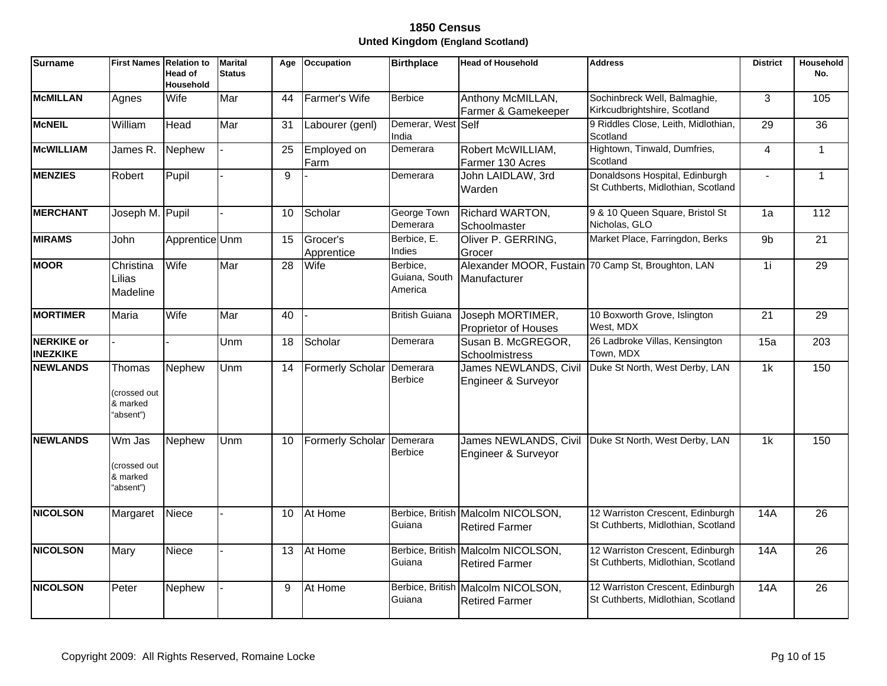| <b>Surname</b>                       | <b>First Names Relation to</b>                         | <b>Head of</b><br><b>Household</b> | <b>Marital</b><br><b>Status</b> | Age | <b>Occupation</b>         | <b>Birthplace</b>                    | <b>Head of Household</b>                                    | <b>Address</b>                                                         | <b>District</b> | Household<br>No. |
|--------------------------------------|--------------------------------------------------------|------------------------------------|---------------------------------|-----|---------------------------|--------------------------------------|-------------------------------------------------------------|------------------------------------------------------------------------|-----------------|------------------|
| <b>McMILLAN</b>                      | Agnes                                                  | Wife                               | Mar                             | 44  | Farmer's Wife             | <b>Berbice</b>                       | Anthony McMILLAN,<br>Farmer & Gamekeeper                    | Sochinbreck Well, Balmaghie,<br>Kirkcudbrightshire, Scotland           | 3               | 105              |
| <b>McNEIL</b>                        | William                                                | Head                               | Mar                             | 31  | Labourer (genl)           | Demerar, West Self<br>India          |                                                             | 9 Riddles Close, Leith, Midlothian,<br>Scotland                        | 29              | 36               |
| <b>McWILLIAM</b>                     | James R.                                               | Nephew                             |                                 | 25  | Employed on<br>Farm       | Demerara                             | Robert McWILLIAM,<br>Farmer 130 Acres                       | Hightown, Tinwald, Dumfries,<br>Scotland                               | $\overline{4}$  | $\mathbf{1}$     |
| <b>MENZIES</b>                       | Robert                                                 | Pupil                              |                                 | 9   |                           | Demerara                             | John LAIDLAW, 3rd<br>Warden                                 | Donaldsons Hospital, Edinburgh<br>St Cuthberts, Midlothian, Scotland   |                 | $\mathbf{1}$     |
| <b>MERCHANT</b>                      | Joseph M. Pupil                                        |                                    |                                 | 10  | Scholar                   | George Town<br>Demerara              | Richard WARTON,<br>Schoolmaster                             | 9 & 10 Queen Square, Bristol St<br>Nicholas, GLO                       | 1a              | $\overline{112}$ |
| <b>MIRAMS</b>                        | John                                                   | Apprentice Unm                     |                                 | 15  | Grocer's<br>Apprentice    | Berbice, E.<br>Indies                | Oliver P. GERRING,<br>Grocer                                | Market Place, Farringdon, Berks                                        | 9 <sub>b</sub>  | $\overline{21}$  |
| <b>MOOR</b>                          | Christina<br>Lilias<br>Madeline                        | Wife                               | Mar                             | 28  | Wife                      | Berbice,<br>Guiana, South<br>America | Manufacturer                                                | Alexander MOOR, Fustain 70 Camp St, Broughton, LAN                     | 1i              | 29               |
| <b>MORTIMER</b>                      | Maria                                                  | Wife                               | Mar                             | 40  |                           | <b>British Guiana</b>                | Joseph MORTIMER,<br>Proprietor of Houses                    | 10 Boxworth Grove, Islington<br>West, MDX                              | 21              | 29               |
| <b>NERKIKE or</b><br><b>INEZKIKE</b> |                                                        |                                    | Unm                             | 18  | Scholar                   | Demerara                             | Susan B. McGREGOR,<br>Schoolmistress                        | 26 Ladbroke Villas, Kensington<br>Town, MDX                            | 15a             | 203              |
| <b>NEWLANDS</b>                      | <b>Thomas</b><br>(crossed out<br>& marked<br>"absent") | Nephew                             | Unm                             | 14  | Formerly Scholar          | Demerara<br><b>Berbice</b>           | James NEWLANDS, Civil<br>Engineer & Surveyor                | Duke St North, West Derby, LAN                                         | $\overline{1k}$ | 150              |
| <b>NEWLANDS</b>                      | Wm Jas<br>crossed out<br>& marked<br>"absent")         | Nephew                             | Unm                             | 10  | Formerly Scholar Demerara | <b>Berbice</b>                       | James NEWLANDS, Civil<br>Engineer & Surveyor                | Duke St North, West Derby, LAN                                         | 1k              | 150              |
| <b>NICOLSON</b>                      | Margaret                                               | Niece                              |                                 | 10  | At Home                   | Guiana                               | Berbice, British Malcolm NICOLSON,<br><b>Retired Farmer</b> | 12 Warriston Crescent, Edinburgh<br>St Cuthberts, Midlothian, Scotland | 14A             | 26               |
| <b>NICOLSON</b>                      | Mary                                                   | Niece                              |                                 | 13  | At Home                   | Guiana                               | Berbice, British Malcolm NICOLSON,<br><b>Retired Farmer</b> | 12 Warriston Crescent, Edinburgh<br>St Cuthberts, Midlothian, Scotland | 14A             | $\overline{26}$  |
| <b>NICOLSON</b>                      | Peter                                                  | Nephew                             |                                 | 9   | At Home                   | Guiana                               | Berbice, British Malcolm NICOLSON,<br><b>Retired Farmer</b> | 12 Warriston Crescent, Edinburgh<br>St Cuthberts, Midlothian, Scotland | <b>14A</b>      | 26               |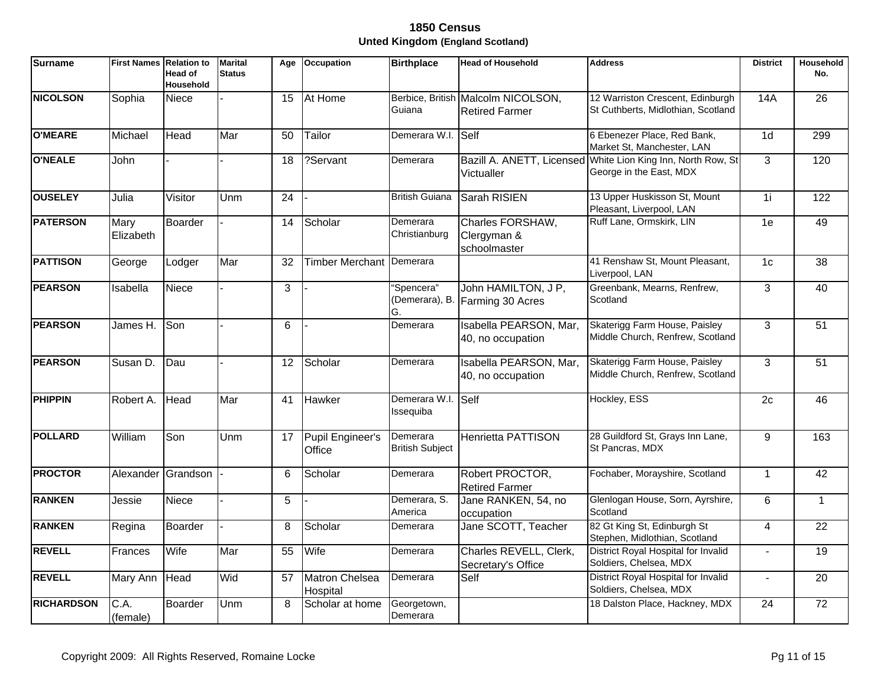| <b>Surname</b>    | <b>First Names Relation to</b> | Head of<br><b>Household</b> | <b>Marital</b><br><b>Status</b> | Age             | <b>Occupation</b>                 | <b>Birthplace</b>                  | <b>Head of Household</b>                                    | <b>Address</b>                                                                          | <b>District</b> | Household<br>No. |
|-------------------|--------------------------------|-----------------------------|---------------------------------|-----------------|-----------------------------------|------------------------------------|-------------------------------------------------------------|-----------------------------------------------------------------------------------------|-----------------|------------------|
| <b>NICOLSON</b>   | Sophia                         | Niece                       |                                 | 15              | At Home                           | Guiana                             | Berbice, British Malcolm NICOLSON,<br><b>Retired Farmer</b> | 12 Warriston Crescent, Edinburgh<br>St Cuthberts, Midlothian, Scotland                  | 14A             | 26               |
| <b>O'MEARE</b>    | Michael                        | Head                        | Mar                             | 50              | Tailor                            | Demerara W.I.                      | Self                                                        | 6 Ebenezer Place, Red Bank,<br>Market St, Manchester, LAN                               | 1 <sub>d</sub>  | 299              |
| <b>O'NEALE</b>    | John                           |                             |                                 | 18              | ?Servant                          | Demerara                           | Victualler                                                  | Bazill A. ANETT, Licensed White Lion King Inn, North Row, St<br>George in the East, MDX | $\overline{3}$  | 120              |
| <b>OUSELEY</b>    | Julia                          | Visitor                     | Unm                             | $\overline{24}$ |                                   | <b>British Guiana</b>              | Sarah RISIEN                                                | 13 Upper Huskisson St, Mount<br>Pleasant, Liverpool, LAN                                | 1i              | 122              |
| <b>PATERSON</b>   | Mary<br>Elizabeth              | Boarder                     |                                 | 14              | Scholar                           | Demerara<br>Christianburg          | Charles FORSHAW,<br>Clergyman &<br>schoolmaster             | Ruff Lane, Ormskirk, LIN                                                                | 1e              | 49               |
| <b>PATTISON</b>   | George                         | Lodger                      | Mar                             | 32              | Timber Merchant Demerara          |                                    |                                                             | 41 Renshaw St, Mount Pleasant,<br>Liverpool, LAN                                        | 1 <sub>c</sub>  | 38               |
| <b>PEARSON</b>    | Isabella                       | Niece                       |                                 | 3               |                                   | 'Spencera"<br>(Demerara), B.<br>G. | John HAMILTON, J P,<br>Farming 30 Acres                     | Greenbank, Mearns, Renfrew,<br>Scotland                                                 | 3               | 40               |
| <b>PEARSON</b>    | James H.                       | Son                         |                                 | $6\phantom{1}$  |                                   | Demerara                           | Isabella PEARSON, Mar,<br>40, no occupation                 | Skaterigg Farm House, Paisley<br>Middle Church, Renfrew, Scotland                       | 3               | $\overline{51}$  |
| <b>PEARSON</b>    | Susan D.                       | Dau                         |                                 | 12              | Scholar                           | Demerara                           | Isabella PEARSON, Mar.<br>40, no occupation                 | Skaterigg Farm House, Paisley<br>Middle Church, Renfrew, Scotland                       | 3               | 51               |
| <b>PHIPPIN</b>    | Robert A.                      | Head                        | Mar                             | 41              | Hawker                            | Demerara W.I. Self<br>Issequiba    |                                                             | Hockley, ESS                                                                            | $\overline{2c}$ | 46               |
| <b>POLLARD</b>    | William                        | Son                         | Unm                             | 17              | <b>Pupil Engineer's</b><br>Office | Demerara<br><b>British Subject</b> | <b>Henrietta PATTISON</b>                                   | 28 Guildford St, Grays Inn Lane,<br>St Pancras, MDX                                     | 9               | 163              |
| <b>PROCTOR</b>    | Alexander Grandson             |                             |                                 | 6               | Scholar                           | Demerara                           | Robert PROCTOR,<br><b>Retired Farmer</b>                    | Fochaber, Morayshire, Scotland                                                          | $\overline{1}$  | 42               |
| <b>RANKEN</b>     | Jessie                         | <b>Niece</b>                |                                 | 5               |                                   | Demerara, S.<br>America            | Jane RANKEN, 54, no<br>occupation                           | Glenlogan House, Sorn, Ayrshire,<br>Scotland                                            | 6               | $\mathbf{1}$     |
| <b>RANKEN</b>     | Regina                         | Boarder                     |                                 | 8               | Scholar                           | Demerara                           | Jane SCOTT, Teacher                                         | 82 Gt King St, Edinburgh St<br>Stephen, Midlothian, Scotland                            | 4               | 22               |
| <b>REVELL</b>     | Frances                        | Wife                        | Mar                             | 55              | Wife                              | Demerara                           | Charles REVELL, Clerk,<br>Secretary's Office                | District Royal Hospital for Invalid<br>Soldiers, Chelsea, MDX                           | $\overline{a}$  | 19               |
| <b>REVELL</b>     | Mary Ann                       | Head                        | Wid                             | 57              | Matron Chelsea<br>Hospital        | Demerara                           | Self                                                        | District Royal Hospital for Invalid<br>Soldiers, Chelsea, MDX                           | $\overline{a}$  | 20               |
| <b>RICHARDSON</b> | C.A.<br>(female)               | Boarder                     | Unm                             | 8               | Scholar at home                   | Georgetown,<br>Demerara            |                                                             | 18 Dalston Place, Hackney, MDX                                                          | 24              | $\overline{72}$  |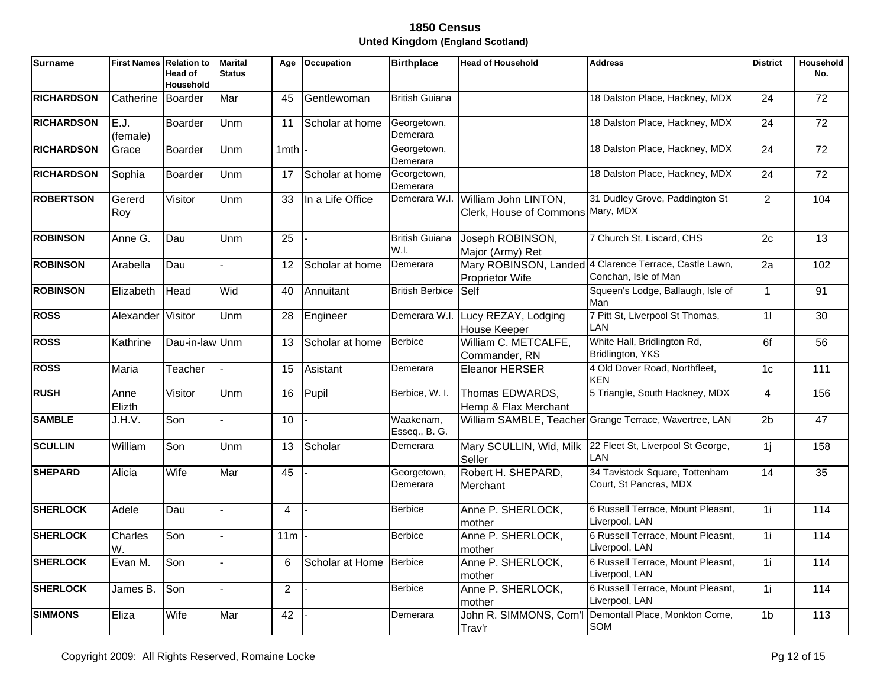| <b>Surname</b>    | <b>First Names</b> | <b>Relation to</b><br>Head of<br>Household | <b>Marital</b><br><b>Status</b> | Age             | <b>Occupation</b> | <b>Birthplace</b>             | <b>Head of Household</b>                                  | <b>Address</b>                                                                 | <b>District</b> | <b>Household</b><br>No. |
|-------------------|--------------------|--------------------------------------------|---------------------------------|-----------------|-------------------|-------------------------------|-----------------------------------------------------------|--------------------------------------------------------------------------------|-----------------|-------------------------|
| <b>RICHARDSON</b> | Catherine          | Boarder                                    | Mar                             | 45              | Gentlewoman       | <b>British Guiana</b>         |                                                           | 18 Dalston Place, Hackney, MDX                                                 | 24              | $\overline{72}$         |
| <b>RICHARDSON</b> | E.J.<br>(female)   | Boarder                                    | Unm                             | 11              | Scholar at home   | Georgetown,<br>Demerara       |                                                           | 18 Dalston Place, Hackney, MDX                                                 | $\overline{24}$ | $\overline{72}$         |
| <b>RICHARDSON</b> | Grace              | <b>Boarder</b>                             | Unm                             | 1mth l          |                   | Georgetown,<br>Demerara       |                                                           | 18 Dalston Place, Hackney, MDX                                                 | 24              | 72                      |
| <b>RICHARDSON</b> | Sophia             | Boarder                                    | Unm                             | 17              | Scholar at home   | Georgetown,<br>Demerara       |                                                           | 18 Dalston Place, Hackney, MDX                                                 | $\overline{24}$ | 72                      |
| <b>ROBERTSON</b>  | Gererd<br>Roy      | Visitor                                    | Unm                             | 33              | In a Life Office  | Demerara W.I.                 | William John LINTON,<br>Clerk, House of Commons Mary, MDX | 31 Dudley Grove, Paddington St                                                 | $\overline{2}$  | 104                     |
| <b>ROBINSON</b>   | Anne G.            | Dau                                        | Unm                             | $\overline{25}$ |                   | <b>British Guiana</b><br>W.I. | Joseph ROBINSON,<br>Major (Army) Ret                      | 7 Church St, Liscard, CHS                                                      | 2c              | $\overline{13}$         |
| <b>ROBINSON</b>   | Arabella           | Dau                                        |                                 | 12              | Scholar at home   | Demerara                      | Proprietor Wife                                           | Mary ROBINSON, Landed 4 Clarence Terrace, Castle Lawn,<br>Conchan, Isle of Man | $\overline{2a}$ | 102                     |
| <b>ROBINSON</b>   | Elizabeth          | Head                                       | Wid                             | 40              | Annuitant         | <b>British Berbice</b>        | Self                                                      | Squeen's Lodge, Ballaugh, Isle of<br>Man                                       | $\mathbf{1}$    | 91                      |
| <b>ROSS</b>       | Alexander          | Visitor                                    | Unm                             | 28              | Engineer          | Demerara W.I.                 | Lucy REZAY, Lodging<br>House Keeper                       | 7 Pitt St, Liverpool St Thomas,<br>LAN                                         | 11              | 30                      |
| <b>ROSS</b>       | Kathrine           | Dau-in-law Unm                             |                                 | 13              | Scholar at home   | <b>Berbice</b>                | William C. METCALFE,<br>Commander, RN                     | White Hall, Bridlington Rd,<br>Bridlington, YKS                                | 6f              | 56                      |
| <b>ROSS</b>       | <b>Maria</b>       | Teacher                                    |                                 | 15              | Asistant          | Demerara                      | Eleanor HERSER                                            | 4 Old Dover Road, Northfleet,<br><b>KEN</b>                                    | 1 <sub>c</sub>  | 111                     |
| <b>RUSH</b>       | Anne<br>Elizth     | Visitor                                    | Unm                             | 16              | Pupil             | Berbice, W. I.                | Thomas EDWARDS,<br>Hemp & Flax Merchant                   | 5 Triangle, South Hackney, MDX                                                 | $\overline{4}$  | 156                     |
| <b>SAMBLE</b>     | J.H.V.             | Son                                        |                                 | 10              |                   | Waakenam,<br>Esseq., B. G.    |                                                           | William SAMBLE, Teacher Grange Terrace, Wavertree, LAN                         | $\overline{2b}$ | $\overline{47}$         |
| <b>SCULLIN</b>    | William            | Son                                        | Unm                             | 13              | Scholar           | Demerara                      | Mary SCULLIN, Wid, Milk<br>Seller                         | 22 Fleet St, Liverpool St George,<br>LAN                                       | 1j              | 158                     |
| <b>SHEPARD</b>    | Alicia             | Wife                                       | Mar                             | 45              |                   | Georgetown,<br>Demerara       | Robert H. SHEPARD,<br>Merchant                            | 34 Tavistock Square, Tottenham<br>Court, St Pancras, MDX                       | 14              | $\overline{35}$         |
| <b>SHERLOCK</b>   | Adele              | Dau                                        |                                 | $\overline{4}$  |                   | <b>Berbice</b>                | Anne P. SHERLOCK,<br>mother                               | 6 Russell Terrace, Mount Pleasnt,<br>Liverpool, LAN                            | 1i              | 114                     |
| <b>SHERLOCK</b>   | Charles<br>W.      | Son                                        |                                 | 11m             |                   | <b>Berbice</b>                | Anne P. SHERLOCK,<br>mother                               | 6 Russell Terrace, Mount Pleasnt,<br>Liverpool, LAN                            | $\overline{1}$  | $\frac{114}{114}$       |
| <b>SHERLOCK</b>   | Evan M.            | Son                                        |                                 | 6               | Scholar at Home   | Berbice                       | Anne P. SHERLOCK,<br>mother                               | 6 Russell Terrace, Mount Pleasnt,<br>Liverpool, LAN                            | $\overline{1}$  | 114                     |
| <b>SHERLOCK</b>   | James B.           | Son                                        |                                 | 2               |                   | <b>Berbice</b>                | Anne P. SHERLOCK,<br>mother                               | 6 Russell Terrace, Mount Pleasnt,<br>Liverpool, LAN                            | 1i              | 114                     |
| <b>SIMMONS</b>    | Eliza              | Wife                                       | Mar                             | 42              |                   | Demerara                      | John R. SIMMONS, Com'l<br>Trav'r                          | Demontall Place, Monkton Come,<br>SOM                                          | 1 <sub>b</sub>  | 113                     |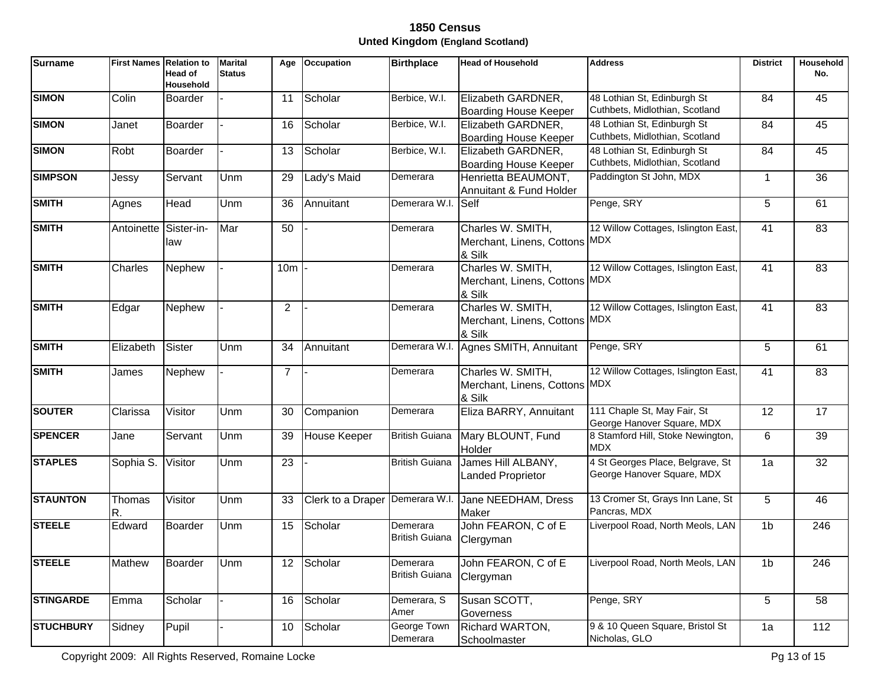| Surname          | <b>First Names Relation to</b> | Head of<br><b>Household</b> | <b>Marital</b><br><b>Status</b> | Age             | Occupation        | <b>Birthplace</b>                 | <b>Head of Household</b>                                     | <b>Address</b>                                                 | <b>District</b> | Household<br>No. |
|------------------|--------------------------------|-----------------------------|---------------------------------|-----------------|-------------------|-----------------------------------|--------------------------------------------------------------|----------------------------------------------------------------|-----------------|------------------|
| <b>SIMON</b>     | Colin                          | <b>Boarder</b>              |                                 | 11              | Scholar           | Berbice, W.I.                     | Elizabeth GARDNER,<br><b>Boarding House Keeper</b>           | 48 Lothian St, Edinburgh St<br>Cuthbets, Midlothian, Scotland  | 84              | 45               |
| <b>SIMON</b>     | Janet                          | <b>Boarder</b>              |                                 | 16              | Scholar           | Berbice, W.I.                     | Elizabeth GARDNER,<br><b>Boarding House Keeper</b>           | 48 Lothian St, Edinburgh St<br>Cuthbets, Midlothian, Scotland  | 84              | 45               |
| <b>SIMON</b>     | Robt                           | Boarder                     |                                 | 13              | Scholar           | Berbice, W.I.                     | Elizabeth GARDNER,<br>Boarding House Keeper                  | 48 Lothian St, Edinburgh St<br>Cuthbets, Midlothian, Scotland  | 84              | 45               |
| <b>SIMPSON</b>   | Jessy                          | Servant                     | Unm                             | 29              | Lady's Maid       | Demerara                          | Henrietta BEAUMONT,<br>Annuitant & Fund Holder               | Paddington St John, MDX                                        | $\mathbf 1$     | 36               |
| <b>SMITH</b>     | Agnes                          | Head                        | Unm                             | 36              | Annuitant         | Demerara W.I. Self                |                                                              | Penge, SRY                                                     | 5               | 61               |
| <b>SMITH</b>     | Antoinette                     | Sister-in-<br>law           | Mar                             | 50              |                   | Demerara                          | Charles W. SMITH,<br>Merchant, Linens, Cottons MDX<br>& Silk | 12 Willow Cottages, Islington East,                            | 41              | 83               |
| <b>SMITH</b>     | Charles                        | Nephew                      |                                 | 10 <sub>m</sub> |                   | Demerara                          | Charles W. SMITH,<br>Merchant, Linens, Cottons MDX<br>& Silk | 12 Willow Cottages, Islington East,                            | 41              | 83               |
| <b>SMITH</b>     | Edgar                          | Nephew                      |                                 | $\overline{2}$  |                   | Demerara                          | Charles W. SMITH,<br>Merchant, Linens, Cottons MDX<br>& Silk | 12 Willow Cottages, Islington East,                            | 41              | 83               |
| <b>SMITH</b>     | Elizabeth                      | Sister                      | Unm                             | 34              | Annuitant         | Demerara W.I                      | Agnes SMITH, Annuitant                                       | Penge, SRY                                                     | 5               | 61               |
| <b>SMITH</b>     | James                          | Nephew                      |                                 | $\overline{7}$  |                   | Demerara                          | Charles W. SMITH,<br>Merchant, Linens, Cottons MDX<br>& Silk | 12 Willow Cottages, Islington East,                            | 41              | 83               |
| <b>SOUTER</b>    | Clarissa                       | Visitor                     | <b>Unm</b>                      | 30              | Companion         | Demerara                          | Eliza BARRY, Annuitant                                       | 111 Chaple St, May Fair, St<br>George Hanover Square, MDX      | 12              | $\overline{17}$  |
| <b>SPENCER</b>   | Jane                           | Servant                     | Unm                             | 39              | House Keeper      | <b>British Guiana</b>             | Mary BLOUNT, Fund<br>Holder                                  | 8 Stamford Hill, Stoke Newington,<br><b>MDX</b>                | 6               | 39               |
| <b>STAPLES</b>   | Sophia S.                      | Visitor                     | Unm                             | $\overline{23}$ |                   | <b>British Guiana</b>             | James Hill ALBANY,<br><b>Landed Proprietor</b>               | 4 St Georges Place, Belgrave, St<br>George Hanover Square, MDX | 1a              | $\overline{32}$  |
| <b>STAUNTON</b>  | Thomas<br>R.                   | Visitor                     | Unm                             | 33              | Clerk to a Draper | Demerara W.I.                     | Jane NEEDHAM, Dress<br><b>Maker</b>                          | 13 Cromer St, Grays Inn Lane, St<br>Pancras, MDX               | 5               | 46               |
| <b>STEELE</b>    | Edward                         | Boarder                     | Unm                             | 15              | Scholar           | Demerara<br><b>British Guiana</b> | John FEARON, C of E<br>Clergyman                             | Liverpool Road, North Meols, LAN                               | 1 <sub>b</sub>  | 246              |
| <b>STEELE</b>    | Mathew                         | Boarder                     | Unm                             | 12              | Scholar           | Demerara<br><b>British Guiana</b> | John FEARON, C of E<br>Clergyman                             | Liverpool Road, North Meols, LAN                               | 1 <sub>b</sub>  | 246              |
| <b>STINGARDE</b> | Emma                           | Scholar                     |                                 | 16              | Scholar           | Demerara, S<br>Amer               | Susan SCOTT,<br>Governess                                    | Penge, SRY                                                     | 5               | 58               |
| <b>STUCHBURY</b> | Sidney                         | Pupil                       |                                 | 10              | Scholar           | George Town<br>Demerara           | Richard WARTON,<br>Schoolmaster                              | 9 & 10 Queen Square, Bristol St<br>Nicholas, GLO               | 1a              | 112              |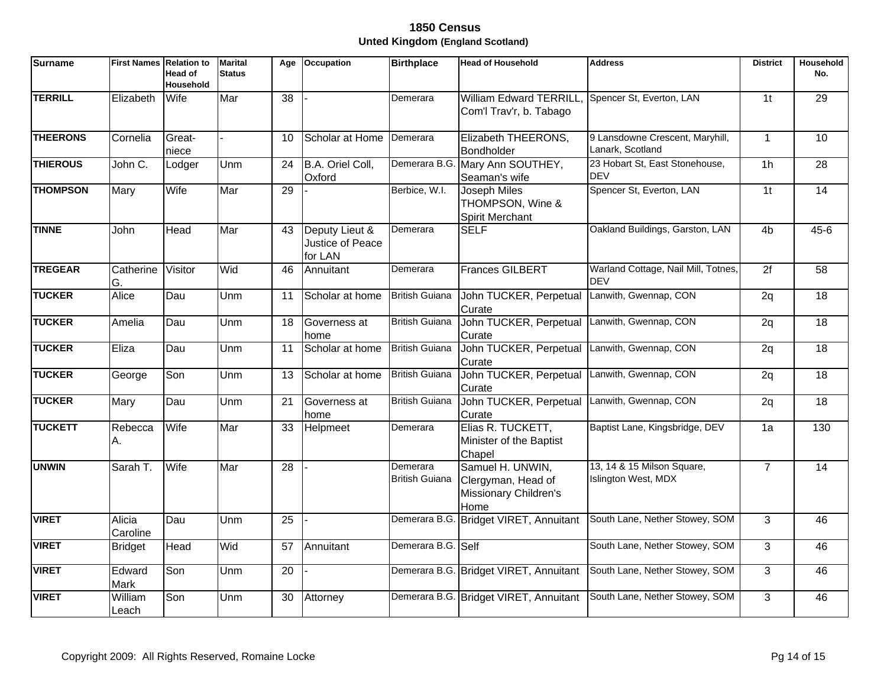| <b>Surname</b>  | <b>First Names Relation to</b> | <b>Head of</b><br><b>Household</b> | <b>Marital</b><br><b>Status</b> | Age             | <b>Occupation</b>                             | <b>Birthplace</b>                 | <b>Head of Household</b>                                                | <b>Address</b>                                           | <b>District</b> | Household<br>No. |
|-----------------|--------------------------------|------------------------------------|---------------------------------|-----------------|-----------------------------------------------|-----------------------------------|-------------------------------------------------------------------------|----------------------------------------------------------|-----------------|------------------|
| <b>TERRILL</b>  | Elizabeth                      | Wife                               | Mar                             | 38              |                                               | Demerara                          | <b>William Edward TERRILL</b><br>Com'l Trav'r, b. Tabago                | Spencer St, Everton, LAN                                 | 1 <sub>t</sub>  | 29               |
| <b>THEERONS</b> | Cornelia                       | Great-<br>niece                    |                                 | 10              | Scholar at Home                               | Demerara                          | Elizabeth THEERONS,<br>Bondholder                                       | 9 Lansdowne Crescent, Maryhill,<br>Lanark, Scotland      | $\mathbf{1}$    | $\overline{10}$  |
| <b>THIEROUS</b> | John C.                        | Lodger                             | Unm                             | 24              | B.A. Oriel Coll,<br>Oxford                    | Demerara B.G.                     | Mary Ann SOUTHEY,<br>Seaman's wife                                      | 23 Hobart St, East Stonehouse,<br><b>DEV</b>             | $\overline{1h}$ | $\overline{28}$  |
| <b>THOMPSON</b> | Mary                           | Wife                               | Mar                             | $\overline{29}$ |                                               | Berbice, W.I.                     | Joseph Miles<br>THOMPSON, Wine &<br><b>Spirit Merchant</b>              | Spencer St, Everton, LAN                                 | $\overline{1}$  | 14               |
| <b>TINNE</b>    | John                           | Head                               | Mar                             | 43              | Deputy Lieut &<br>Justice of Peace<br>for LAN | Demerara                          | <b>SELF</b>                                                             | Oakland Buildings, Garston, LAN                          | 4 <sub>b</sub>  | $45 - 6$         |
| <b>TREGEAR</b>  | Catherine<br>G.                | Visitor                            | Wid                             | 46              | Annuitant                                     | Demerara                          | <b>Frances GILBERT</b>                                                  | Warland Cottage, Nail Mill, Totnes,<br><b>DEV</b>        | $\overline{2f}$ | 58               |
| <b>TUCKER</b>   | Alice                          | Dau                                | Unm                             | 11              | Scholar at home                               | <b>British Guiana</b>             | John TUCKER, Perpetual<br>Curate                                        | Lanwith, Gwennap, CON                                    | 2q              | 18               |
| <b>TUCKER</b>   | Amelia                         | Dau                                | <b>Unm</b>                      | 18              | Governess at<br>home                          | <b>British Guiana</b>             | John TUCKER, Perpetual<br>Curate                                        | Lanwith, Gwennap, CON                                    | 2q              | $\overline{18}$  |
| <b>TUCKER</b>   | Eliza                          | Dau                                | Unm                             | 11              | Scholar at home                               | <b>British Guiana</b>             | John TUCKER, Perpetual<br>Curate                                        | Lanwith, Gwennap, CON                                    | 2q              | 18               |
| <b>TUCKER</b>   | George                         | Son                                | Unm                             | 13              | Scholar at home                               | <b>British Guiana</b>             | John TUCKER, Perpetual<br>Curate                                        | Lanwith, Gwennap, CON                                    | 2q              | 18               |
| <b>TUCKER</b>   | Mary                           | Dau                                | Unm                             | 21              | Governess at<br>home                          | <b>British Guiana</b>             | John TUCKER, Perpetual<br>Curate                                        | Lanwith, Gwennap, CON                                    | 2q              | 18               |
| <b>TUCKETT</b>  | Rebecca<br>А.                  | Wife                               | Mar                             | 33              | Helpmeet                                      | Demerara                          | Elias R. TUCKETT,<br>Minister of the Baptist<br>Chapel                  | Baptist Lane, Kingsbridge, DEV                           | 1a              | 130              |
| <b>UNWIN</b>    | Sarah T.                       | Wife                               | Mar                             | $\overline{28}$ |                                               | Demerara<br><b>British Guiana</b> | Samuel H. UNWIN,<br>Clergyman, Head of<br>Missionary Children's<br>Home | 13, 14 & 15 Milson Square,<br><b>Islington West, MDX</b> | $\overline{7}$  | $\overline{14}$  |
| <b>VIRET</b>    | Alicia<br>Caroline             | Dau                                | Unm                             | 25              |                                               |                                   | Demerara B.G. Bridget VIRET, Annuitant                                  | South Lane, Nether Stowey, SOM                           | 3               | 46               |
| <b>VIRET</b>    | <b>Bridget</b>                 | Head                               | Wid                             | 57              | Annuitant                                     | Demerara B.G. Self                |                                                                         | South Lane, Nether Stowey, SOM                           | 3               | 46               |
| <b>VIRET</b>    | Edward<br>Mark                 | Son                                | Unm                             | 20              |                                               |                                   | Demerara B.G. Bridget VIRET, Annuitant                                  | South Lane, Nether Stowey, SOM                           | 3               | 46               |
| <b>VIRET</b>    | William<br>Leach               | Son                                | <b>Unm</b>                      | 30              | Attorney                                      |                                   | Demerara B.G. Bridget VIRET, Annuitant                                  | South Lane, Nether Stowey, SOM                           | 3               | 46               |